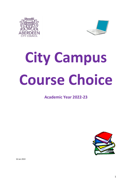



# **City Campus Course Choice**

# **Academic Year 2022-23**



16 Jan 2022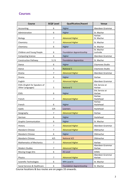# **Courses**

| <b>Course</b>                                     | <b>SCQF Level</b> | <b>Qualification/Award</b>       | Venue                           |
|---------------------------------------------------|-------------------|----------------------------------|---------------------------------|
| Accounting                                        | 6                 | Higher                           | Aberdeen Grammar                |
| Administration                                    | 6                 | Higher                           | St. Machar                      |
| Biology                                           | $\overline{7}$    | <b>Advanced Higher</b>           | Harlaw<br>St. Machar            |
| Chemistry                                         | $\overline{7}$    | <b>Advanced Higher</b>           | St. Machar                      |
| Chemistry                                         | 6                 | Higher                           | St. Machar                      |
| Children and Young People                         | 6                 | <b>Foundation Apprenticeship</b> | St. Machar<br>Lochside          |
| <b>Computing Science</b>                          | 6                 | Higher                           | Aberdeen Grammar                |
| <b>Construction Pathway</b>                       | 5/6               | <b>Foundation Apprentice</b>     | St. Machar                      |
| Dance                                             | 6                 | Higher                           | Citymoves Studio                |
| Dance                                             | 5                 | <b>National 5</b>                | Citymoves Studio                |
| Drama                                             | 7                 | <b>Advanced Higher</b>           | Aberdeen Grammar                |
| Drama                                             | 6                 | Higher                           | Harlaw                          |
| English                                           | 7                 | <b>Advanced Higher</b>           | Aberdeen Grammar                |
| ESOL (English for Speakers of<br>Other Languages) | 5                 | <b>National 5</b>                | <b>EAL Service at</b><br>Harlaw |
| ESOL                                              | 6                 | Higher                           | <b>EAL Service at</b><br>Harlaw |
| French                                            | 7                 | <b>Advanced Higher</b>           | Harlaw<br>Hazlehead             |
| French                                            | 6                 | Higher                           | Harlaw<br>Hazlehead             |
| Gaelic                                            | 3/4               | Learners                         | Hazlehead                       |
| Geography                                         | $\overline{7}$    | <b>Advanced Higher</b>           | Harlaw                          |
| German                                            | 6                 | Higher                           | Hazlehead                       |
| <b>Graphic Communication</b>                      | 6                 | Higher                           | St. Machar                      |
| History                                           | 7                 | <b>Advanced Higher</b>           | Aberdeen Grammar                |
| <b>Mandarin Chinese</b>                           | 7                 | <b>Advanced Higher</b>           | Oldmachar                       |
| Mandarin Chinese                                  | 6                 | Higher                           | Oldmachar                       |
| Mandarin Chinese                                  | 4/5               | <b>National 4/5</b>              | Oldmachar                       |
| <b>Mathematics of Mechanics</b>                   | $\overline{7}$    | <b>Advanced Higher</b>           | Harlaw                          |
| Modern Studies                                    | 7                 | <b>Advanced Higher</b>           | Aberdeen Grammar<br>Harlaw      |
| Moving Image Arts                                 | 6                 | AS Level                         | SHMU                            |
| Physics                                           | 7                 | <b>Advanced Higher</b>           | Aberdeen Grammar<br>Harlaw      |
| <b>Scientific Technologies</b>                    | 6                 | NPA Level 6                      | St. Machar                      |
| Social Services & Healthcare                      | 6                 | <b>Foundation Apprenticeship</b> | St. Machar                      |

Course locations & bus routes are on pages 33 onwards.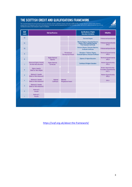THE SCOTTISH CREDIT AND QUALIFICATIONS FRAMEWORK<br>This Framework diagram has been produced to show the mainstream Scottish qualifications already credit rated by SQA and HEIs. However, there are a diverse number of learning

| <b>SCQF</b><br><b>Levels</b> | <b>SQA Qualifications</b>                                 |                                          | <b>Qualifications of Higher</b><br><b>Education Institutions</b> | <b>SVQs/MAs</b>                                                                                                 |                                                                                      |
|------------------------------|-----------------------------------------------------------|------------------------------------------|------------------------------------------------------------------|-----------------------------------------------------------------------------------------------------------------|--------------------------------------------------------------------------------------|
| 12                           |                                                           |                                          |                                                                  | <b>Doctoral Degree</b>                                                                                          | Professional Apprenticeship                                                          |
| 11                           |                                                           |                                          |                                                                  | <b>Masters Degree, Integrated Masters</b><br>Degree, Post Graduate Diploma,<br><b>Post Graduate Certificate</b> | Professional Apprenticeship<br>SVQ 5                                                 |
| 10                           |                                                           |                                          |                                                                  | Honours Degree, Graduate Diploma,<br><b>Graduate Certificate</b>                                                | Professional Apprenticeship                                                          |
| 9                            |                                                           |                                          | Professional<br><b>Development Award</b>                         | <b>Bachelors / Ordinary Degree,</b><br>Graduate Diploma, Graduate Certificate                                   | <b>Technical Apprenticeship</b><br>SVQ 4                                             |
| 8                            |                                                           | <b>Higher National</b><br><b>Diploma</b> |                                                                  | <b>Diploma Of Higher Education</b>                                                                              | <b>Technical Apprenticeship</b><br>SVQ 4                                             |
| $\overline{7}$               | Advanced Higher, Awards,<br><b>Scottish Baccalaureate</b> | <b>Higher National</b><br>Certificate    |                                                                  | <b>Certificate Of Higher Education</b>                                                                          | <b>Modern Apprenticeship</b><br>SVQ 3                                                |
| 6                            | Higher, Awards,<br><b>Skills for Work Higher</b>          |                                          |                                                                  |                                                                                                                 | <b>Modern Apprenticeship</b><br><b>Foundation Apprenticeship</b><br>SVQ <sub>3</sub> |
| 5                            | National 5, Awards,<br><b>Skills for Work National 5</b>  |                                          |                                                                  |                                                                                                                 | <b>Modern Apprenticeship</b><br>SVQ <sub>2</sub>                                     |
| 4                            | National 4, Awards,<br><b>Skills for Work National 4</b>  | <b>National</b><br>Certificate           | <b>National</b><br><b>Progression Award</b>                      |                                                                                                                 | SVQ <sub>1</sub>                                                                     |
| 3                            | National 3, Awards,<br><b>Skills for Work National 3</b>  |                                          |                                                                  |                                                                                                                 |                                                                                      |
| $\overline{2}$               | National 2,<br>Awards                                     |                                          |                                                                  |                                                                                                                 |                                                                                      |
|                              | National 1,<br><b>Awards</b>                              |                                          |                                                                  |                                                                                                                 |                                                                                      |
|                              |                                                           |                                          |                                                                  |                                                                                                                 |                                                                                      |

<https://scqf.org.uk/about-the-framework/>

**scqf**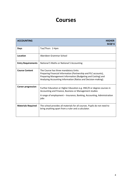# **Courses**

| <b>ACCOUNTING</b>         | <b>HIGHER</b><br><b>SCQF6</b>                                                                                                                                                                                                              |
|---------------------------|--------------------------------------------------------------------------------------------------------------------------------------------------------------------------------------------------------------------------------------------|
| <b>Days</b>               | Tue/Thurs 2-4pm                                                                                                                                                                                                                            |
| Location                  | Aberdeen Grammar School                                                                                                                                                                                                                    |
| <b>Entry Requirements</b> | National 5 Maths or National 5 Accounting                                                                                                                                                                                                  |
| <b>Course Content</b>     | The Course has three mandatory Units:<br>Preparing Financial Information (Partnership and PLC accounts),<br>Preparing Management Information (Budgeting and Costing) and<br>Analysing Accounting Information (Ratios and Decision-making). |
| <b>Career progression</b> | Further Education or Higher Education e.g. HNC/D or degree courses in<br>Accounting and Finance, Business or Management studies<br>A range of employment – Insurance, Banking, Accounting, Administration<br>jobs                          |
| <b>Materials Required</b> | The school provides all materials for all courses. Pupils do not need to<br>bring anything apart from a ruler and a calculator.                                                                                                            |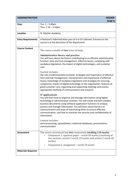| <b>ADMINISTRATION</b>     | <b>HIGHER</b><br><b>SCQF6</b>                                                                                                                                                                                                                                                                                                                                                                                                                                           |
|---------------------------|-------------------------------------------------------------------------------------------------------------------------------------------------------------------------------------------------------------------------------------------------------------------------------------------------------------------------------------------------------------------------------------------------------------------------------------------------------------------------|
| <b>Days</b>               | Tue $2 - 3.40$ pm<br>Thur $1.10 - 2.50$ pm                                                                                                                                                                                                                                                                                                                                                                                                                              |
| Location                  | St. Machar Academy                                                                                                                                                                                                                                                                                                                                                                                                                                                      |
| <b>Entry Requirements</b> | A National 5 Administration pass at A or B is desired. Entrance to the<br>course is at the discretion of the department.                                                                                                                                                                                                                                                                                                                                                |
| <b>Course Content</b>     | The course consists of two areas of study.                                                                                                                                                                                                                                                                                                                                                                                                                              |
|                           | <b>Administrative theory and practice</b><br>You will learn about the factors contributing to an efficient administrative<br>function: time and task management, effective teams, complying with<br>workplace legislation, the impact of digital technologies, and customer<br>care.                                                                                                                                                                                    |
|                           | Content includes:<br>the role of administrative assistant; strategies and importance of effective<br>time and task management; characteristics and importance of effective<br>teams; knowledge of workplace legislation and strategies for ensuring<br>compliance; impact of digital technology on the organisation; features of<br>good customer care; organising and supporting meetings and events;<br>appropriate methods of communication and research.            |
|                           | IT applications<br>You will learn how to organise and manage information using digital<br>technology in administrative contexts. You will create and edit complex<br>business documents using software application functions to analyse,<br>process and manage information. You will learn about barriers to<br>communication and ways of overcoming them to ensure effective<br>communication, and how to maintain the security and confidentiality of<br>information. |
|                           | Content includes:<br>word processing; spreadsheets; relational databases; presentations;<br>communication.                                                                                                                                                                                                                                                                                                                                                              |
| <b>Assessment</b>         | The course assessment has two components totalling 120 marks:<br>Component 1: question paper - worth 50 marks (consisting of<br>two sections, section 1 worth 10 marks, and section 2 worth 40<br>marks)                                                                                                                                                                                                                                                                |
|                           | Component 2: assignment - worth 70 marks.                                                                                                                                                                                                                                                                                                                                                                                                                               |
| <b>Materials Required</b> |                                                                                                                                                                                                                                                                                                                                                                                                                                                                         |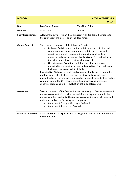| <b>BIOLOGY</b>            |               | <b>ADVANCED HIGHER</b><br><b>SCQF7</b>                                                                                                                                                                                                                                                                                                                                                                                                                                                                                                                                                                                                                                                                                                                                                                                                                                                                                   |
|---------------------------|---------------|--------------------------------------------------------------------------------------------------------------------------------------------------------------------------------------------------------------------------------------------------------------------------------------------------------------------------------------------------------------------------------------------------------------------------------------------------------------------------------------------------------------------------------------------------------------------------------------------------------------------------------------------------------------------------------------------------------------------------------------------------------------------------------------------------------------------------------------------------------------------------------------------------------------------------|
| <b>Days</b>               | Mon/Wed 2-4pm | Tue/Thur 2-4pm                                                                                                                                                                                                                                                                                                                                                                                                                                                                                                                                                                                                                                                                                                                                                                                                                                                                                                           |
| <b>Location</b>           | St. Machar    | Harlaw                                                                                                                                                                                                                                                                                                                                                                                                                                                                                                                                                                                                                                                                                                                                                                                                                                                                                                                   |
| <b>Entry Requirements</b> |               | A Higher Biology or Human Biology pass at A or B is desired. Entrance to<br>the course is at the discretion of the department.                                                                                                                                                                                                                                                                                                                                                                                                                                                                                                                                                                                                                                                                                                                                                                                           |
| <b>Course Content</b>     |               | This course is composed of the following 3 Units:<br>Cells and Proteins: proteomics, protein structure, binding and<br>conformational change; membrane proteins; detecting and<br>amplifying a stimulus; communication within multicellular<br>organism and protein control of cell division. The Unit includes<br>important laboratory techniques for biologists.<br>Organisms and Evolution: evolution; variation and sexual<br>reproduction; sex and behaviour and parasitism. This Unit covers<br>techniques for ecological field study.<br>Investigative Biology: This Unit builds on understanding of the scientific<br>method from Higher Biology. Learners will develop knowledge and<br>understanding of the principles and practice of investigative biology and its<br>communication. The Unit covers scientific principles and processes,<br>experimentation and critical evaluation of biological research. |
| <b>Assessment</b>         |               | To gain the award of the Course, the learner must pass Course assessment.<br>Course assessment will provide the basis for grading attainment in the<br>Course award at levels A-D. The Course assessment is externally assessed<br>and composed of the following two components:<br>• Component $1$ - question paper 100 marks<br>Component 2 - project 30 marks                                                                                                                                                                                                                                                                                                                                                                                                                                                                                                                                                         |
| <b>Materials Required</b> | recommended.  | Access to Scholar is expected and the Bright Red Advanced Higher book is                                                                                                                                                                                                                                                                                                                                                                                                                                                                                                                                                                                                                                                                                                                                                                                                                                                 |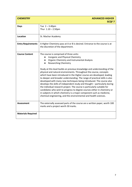| <b>CHEMISTRY</b>          | <b>ADVANCED HIGHER</b><br><b>SCQF7</b>                                                                                                                                                                                                                                                                                                                                                                                                                                                                                                                                                                                                                                                                                                                                                                                                                                                                                           |
|---------------------------|----------------------------------------------------------------------------------------------------------------------------------------------------------------------------------------------------------------------------------------------------------------------------------------------------------------------------------------------------------------------------------------------------------------------------------------------------------------------------------------------------------------------------------------------------------------------------------------------------------------------------------------------------------------------------------------------------------------------------------------------------------------------------------------------------------------------------------------------------------------------------------------------------------------------------------|
| <b>Days</b>               | Tue $2 - 3.40$ pm<br>Thur $1.10 - 2.50$ pm                                                                                                                                                                                                                                                                                                                                                                                                                                                                                                                                                                                                                                                                                                                                                                                                                                                                                       |
| Location                  | St. Machar Academy                                                                                                                                                                                                                                                                                                                                                                                                                                                                                                                                                                                                                                                                                                                                                                                                                                                                                                               |
| <b>Entry Requirements</b> | A Higher Chemistry pass at A or B is desired. Entrance to the course is at<br>the discretion of the department.                                                                                                                                                                                                                                                                                                                                                                                                                                                                                                                                                                                                                                                                                                                                                                                                                  |
| <b>Course Content</b>     | The course is comprised of three units:<br>Inorganic and Physical Chemistry<br>Organic Chemistry and Instrumental Analysis<br><b>Researching Chemistry</b><br>Study at this level builds on previous knowledge and understanding of the<br>physical and natural environments. Throughout the course, concepts<br>which have been introduced in the Higher course are developed, leading<br>to deeper and broader understanding. The range of practical skills is also<br>developed with many new techniques being introduced. The course also<br>develops the skills of independent study and thought - particularly during<br>the individual research project. The course is particularly suitable for<br>candidates who wish to progress to degree courses either in chemistry or<br>in subjects in which chemistry is a major component such as medicine,<br>chemical engineering, and the environmental and health sciences. |
| Assessment                | The externally assessed parts of the course are a written paper, worth 100<br>marks and a project worth 30 marks.                                                                                                                                                                                                                                                                                                                                                                                                                                                                                                                                                                                                                                                                                                                                                                                                                |
| <b>Materials Required</b> |                                                                                                                                                                                                                                                                                                                                                                                                                                                                                                                                                                                                                                                                                                                                                                                                                                                                                                                                  |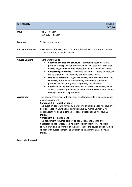| <b>CHEMISTRY</b>          | <b>HIGHER</b><br><b>SCQF6</b>                                                                                                                                                                                                                                                                                                                                                                                                                                                                                                                                                                                                                                                                                                                                                                    |
|---------------------------|--------------------------------------------------------------------------------------------------------------------------------------------------------------------------------------------------------------------------------------------------------------------------------------------------------------------------------------------------------------------------------------------------------------------------------------------------------------------------------------------------------------------------------------------------------------------------------------------------------------------------------------------------------------------------------------------------------------------------------------------------------------------------------------------------|
| <b>Days</b>               | Tue $2 - 3.40$ pm<br>Thur $1.10 - 2.50$ pm                                                                                                                                                                                                                                                                                                                                                                                                                                                                                                                                                                                                                                                                                                                                                       |
| Location                  | St. Machar Academy                                                                                                                                                                                                                                                                                                                                                                                                                                                                                                                                                                                                                                                                                                                                                                               |
| <b>Entry Requirements</b> | A National 5 Chemistry pass at A or B is desired. Entrance to the course is<br>at the discretion of the department.                                                                                                                                                                                                                                                                                                                                                                                                                                                                                                                                                                                                                                                                              |
| <b>Course Content</b>     | There are four units:<br><b>Chemical changes and structure</b> $-$ controlling reaction rates $\&$<br>$\bullet$<br>periodic trends; collision theory & the use of catalysts in reactions;<br>electro-negativity and intra-molecular and intermolecular forces.<br>Researching Chemistry - relevance of chemical theory to everyday<br>life by exploring the chemistry behind a topical issue.<br>Nature's Chemistry - Organic chemistry within the context of the<br>$\bullet$<br>chemistry of food and the chemistry of everyday consumer<br>products, soaps, detergents, fragrances, and skincare.<br>Chemistry in Society - the principles of physical chemistry which<br>$\bullet$<br>allows a chemical process to be taken from the researcher's bench<br>through to industrial production. |
| <b>Assessment</b>         | The Course assessment will consist of two Components: a question paper<br>and an assignment.<br>Component $1$ – question paper.<br>The question paper will have 100 marks. The question paper will have two<br>Sections. Section 1 (Objective Test) will have 20 marks. Section 2 will<br>contain restricted and extended response questions and will have 80<br>marks.<br>Component $2 -$ assignment<br>This assignment requires learners to apply skills, knowledge and<br>understanding to investigate a relevant topic in chemistry. The topic<br>should draw on one or more of the key areas of the course and should be<br>chosen with guidance from the assessor. The assignment will have 20<br>marks.                                                                                   |
| <b>Materials Required</b> |                                                                                                                                                                                                                                                                                                                                                                                                                                                                                                                                                                                                                                                                                                                                                                                                  |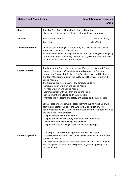| <b>Children and Young People</b> |                                                                                                                                                                                                                                                                                                                                                                                                                                                                                                                                                                                                                                                                                                                                                                                                                                                                                                                                                                                                                                                                             | <b>Foundation Apprenticeship</b><br><b>SCQF6</b> |
|----------------------------------|-----------------------------------------------------------------------------------------------------------------------------------------------------------------------------------------------------------------------------------------------------------------------------------------------------------------------------------------------------------------------------------------------------------------------------------------------------------------------------------------------------------------------------------------------------------------------------------------------------------------------------------------------------------------------------------------------------------------------------------------------------------------------------------------------------------------------------------------------------------------------------------------------------------------------------------------------------------------------------------------------------------------------------------------------------------------------------|--------------------------------------------------|
| <b>Days</b>                      | Tuesday 2pm-4pm & Thursday 1.10pm-3.10pm And<br>Placement (1 full day or 2 half days - flexible to suit timetable)                                                                                                                                                                                                                                                                                                                                                                                                                                                                                                                                                                                                                                                                                                                                                                                                                                                                                                                                                          |                                                  |
| Location                         | St Machar Academy<br>Tue/Thur                                                                                                                                                                                                                                                                                                                                                                                                                                                                                                                                                                                                                                                                                                                                                                                                                                                                                                                                                                                                                                               | Lochside Academy<br>Mon/Wed                      |
| <b>Entry Requirements</b>        | An interest in working or further study in a relevant sector such as<br>Early Years, Childcare, Teaching etc.<br>Students should have a range of qualifications (including Nat 5 English)<br>that demonstrate their ability to work at SCQF Level 6, and cope with<br>the written and demands of the course.                                                                                                                                                                                                                                                                                                                                                                                                                                                                                                                                                                                                                                                                                                                                                                |                                                  |
| <b>Course Content</b>            | The Foundation Apprenticeship in Social Services (Children & Young<br>People) is for pupils in S5 and S6. You will complete a National<br>Progression Award at SCQF Level 6 in Social Services and Healthcare<br>and four Mandatory Units of the SVQ 2 Social Services (Children &<br>Young People).<br>The National Progression Award will include units in:<br>-Safeguarding of Children and Young People<br>-Play for Children and Young People<br>-Communication with Children and Young People<br>-Development of Children and Young People<br>-Promote the wellbeing and safety of Children and Young People<br>You will also undertake work-based learning during which you will<br>gain the mandatory units of the SVQ Level 2 qualification. Two<br>additional optional SVQ Level 2 units must be completed upon entry to<br>the social services workforce.<br>Support effective communication<br>-Support the health and safety of yourself and individuals<br>-Develop your own knowledge and practice<br>-Support the safeguarding of children and young people |                                                  |
| <b>Career progression</b>        | -Can progress onto Modern Apprenticeship in this sector<br>-Successful completion of this course allows direct entry into related<br>courses at NESCOL<br>-Universities recognise this course as equivalent of at least 1 Higher.<br>RGU recognise this course as 2xHigher Bs if you are applying to a<br>related degree.                                                                                                                                                                                                                                                                                                                                                                                                                                                                                                                                                                                                                                                                                                                                                   |                                                  |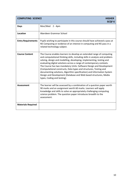| <b>COMPUTING SCIENCE</b><br><b>HIGHER</b><br><b>SCQF6</b> |                                                                                                                                                                                                                                                                                                                                                                                                                                                                                                                                                                                                                                 |
|-----------------------------------------------------------|---------------------------------------------------------------------------------------------------------------------------------------------------------------------------------------------------------------------------------------------------------------------------------------------------------------------------------------------------------------------------------------------------------------------------------------------------------------------------------------------------------------------------------------------------------------------------------------------------------------------------------|
| <b>Days</b>                                               | Mon/Wed<br>$2 - 4pm$                                                                                                                                                                                                                                                                                                                                                                                                                                                                                                                                                                                                            |
| Location                                                  | Aberdeen Grammar School                                                                                                                                                                                                                                                                                                                                                                                                                                                                                                                                                                                                         |
| <b>Entry Requirements</b>                                 | Pupils wishing to participate in this course should have achieved a pass at<br>N5 Computing or evidence of an interest in computing and N5 pass in a<br>related technology subject.                                                                                                                                                                                                                                                                                                                                                                                                                                             |
| <b>Course Content</b>                                     | The Course enables learners to develop an extended range of computing<br>and computational thinking skills, including skills in analysis and problem-<br>solving, design and modelling, developing, implementing, testing and<br>evaluating digital solutions across a range of contemporary contexts.<br>The Course has two mandatory Units: Software Design and Development<br>(Computational constructs, Data types and structures, Testing and<br>documenting solutions, Algorithm specification) and Information System<br>Design and Development (Database and Web based structures, Media<br>types, Coding and testing). |
| <b>Assessment</b>                                         | The learner will be assessed by a combination of a question paper worth<br>90 marks and an assignment worth 60 marks. Learners will apply<br>knowledge and skills to solve an appropriately challenging computing<br>science problem. The question paper introduces breadth to the<br>assessment.                                                                                                                                                                                                                                                                                                                               |
| <b>Materials Required</b>                                 |                                                                                                                                                                                                                                                                                                                                                                                                                                                                                                                                                                                                                                 |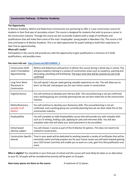#### **Construction Pathway - St Machar Academy**

#### **The Opportunity**

St Machar Academy, NESCol and Robertsons Construction are partnering to offer a 1 year construction course for students in their final year of secondary school. This course is designed for students that wish to pursue a career in the construction industry. Through the course we aim to provide students with a range of certificates and qualifications that will make them some of the most 'employable' young people in Aberdeen City. The course is full time and based in St Machar Academy. This is an ideal opportunity for pupils looking to build their experience to later find an apprenticeship.

#### **What will I study?**

Participation in this course will provide you with the opportunity to gain qualifications a minimum of 5 SCQF qualifications, and possibly more.

| <b>Construction SCQF</b><br>Level 5 Foundation<br>Apprenticeship | NESCol and Robertsons will partner to deliver this course during 1 whole day in school. This<br>will give students training in a variety of construction areas such as carpentry, painting and<br>decorating, plumbing and bricklaying. The exact units that will be covered are yet to be<br>confirmed |
|------------------------------------------------------------------|---------------------------------------------------------------------------------------------------------------------------------------------------------------------------------------------------------------------------------------------------------------------------------------------------------|
| Long Term Work<br>Placement in<br>Construction                   | You will spend 1 day per week gaining valuable experience on site. This will allow you to<br>learn 'on the job' and prepare you for your future career in construction.                                                                                                                                 |
| English/Literacy                                                 | You will continue to develop your literacy skills. The course/learning is not yet confirmed.<br>and a working group are currently planning how we can best relate this to the construction<br>industry.                                                                                                 |
| Maths/Numeracy -<br>possibly Craft<br>Maths?                     | You will continue to develop your Numeracy skills. The course/learning is not yet<br>confirmed. and a working group are currently planning how we can best relate this to the<br>construction industry.                                                                                                 |
| Employability                                                    | You will complete an SQA Employability course that will provide you with valuable skills<br>such as CV writing, finding a job, applying for jobs and interview skills. You will also<br>complete tasks that will allow your work placement to be accredited.                                            |
| School based<br>elective subject                                 | You will choose 1 course as part of the St Machar S5 options. This does not need to be<br>related to construction.                                                                                                                                                                                      |
| <b>Construction Specific</b><br>Awards                           | Time in your week will be dedicated to working towards a variety of certificates that will be<br>extremely useful and help prepare you for your future career you will work towards gaining<br>your CSCS Green Card that will enable you to work on a site, gain First Aid qualification and<br>more.   |

#### **Foe more info see: [ttps://youtu.be/G8TsUMhDF\\_k](https://youtu.be/G8TsUMhDF_k)**

**Who is eligible?** You should be in your final year of school and this course will most likely be taken as an alternative to your S5. S4 pupils will be considered but priority will be given to S5 pupils.

**How many spaces are there on the course** A maximum of 12 places.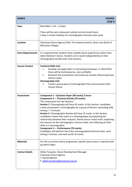| <b>DANCE</b>              | <b>HIGHER</b><br><b>SCQF6</b>                                                                                                                                                                                                                                                                                                                                                                                                                                                                                                                                                                                                                                                                                                                                                                                                     |
|---------------------------|-----------------------------------------------------------------------------------------------------------------------------------------------------------------------------------------------------------------------------------------------------------------------------------------------------------------------------------------------------------------------------------------------------------------------------------------------------------------------------------------------------------------------------------------------------------------------------------------------------------------------------------------------------------------------------------------------------------------------------------------------------------------------------------------------------------------------------------|
| <b>Days</b>               | Mon/Wed 1.45 - 4.15pm                                                                                                                                                                                                                                                                                                                                                                                                                                                                                                                                                                                                                                                                                                                                                                                                             |
|                           | There will be extra rehearsals outside normal school hours:<br>2 days in Easter Holidays for choreography intensive exam prep                                                                                                                                                                                                                                                                                                                                                                                                                                                                                                                                                                                                                                                                                                     |
| Location                  | Citymoves Dance Agency SVIO, The Anatomy Rooms, Shoe Lane (back of<br>Marischal College)                                                                                                                                                                                                                                                                                                                                                                                                                                                                                                                                                                                                                                                                                                                                          |
| <b>Entry Requirements</b> | It is expected that students have suitable dance experience and/or have<br>taken National 5 dance. Students are to work independently on their<br>choreography outside tutor lead sessions.                                                                                                                                                                                                                                                                                                                                                                                                                                                                                                                                                                                                                                       |
| <b>Course Content</b>     | <b>Technical Skills Unit</b><br>Develop and apply skills in contrasting techniques. In 2021/2022<br>these will be Contemporary, Jazz and Ballet<br>Research key practitioners and historical context influencing these<br>$\bullet$<br>distinct styles<br><b>Choreography Unit</b><br>Create a group piece of choreography that communicates their<br>chosen theme                                                                                                                                                                                                                                                                                                                                                                                                                                                                |
| <b>Assessment</b>         | Component 1 - Question Paper (40 marks) 2 hours<br><b>Component 2 – Practical Activity (70 marks)</b><br>This component has two Sections.<br>Section 1: Choreography will have 45 marks. In this Section, candidates<br>create and present a choreography for a group of dancers (excluding self),<br>lasting 2 - 3 minutes.<br>Section 2: Choreographic Review will have 25 marks. In this Section,<br>candidates review their work as a choreographer by explaining the<br>relationship between their research, theme and an initial motif, explaining<br>the reasons for the choreographic choices made, and reflecting on their<br>skills as a choreographer.<br>Component 3 - Performance (70 marks)<br>Candidates will perform two tutor-choreographed technical solos, each<br>lasting 2 minutes, and each worth 35 marks. |
| <b>Materials</b>          | For the curriculum dance programme, specific dance wear is required with<br>no sports logos.                                                                                                                                                                                                                                                                                                                                                                                                                                                                                                                                                                                                                                                                                                                                      |
| <b>Contact details</b>    | Gillian Farquhar, Dance Development Manager<br><b>Citymoves Dance Agency</b><br>T: 01224 984159<br>E: gillian.farquhar@citymoves.org.uk                                                                                                                                                                                                                                                                                                                                                                                                                                                                                                                                                                                                                                                                                           |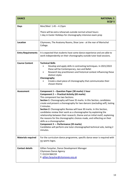| <b>DANCE</b>              | <b>NATIONAL 5</b><br><b>SCQF5</b>                                                                                                                                                                                                                                                                                                                                                                                                                                                                                                                                                                                                                                                                                                                                               |
|---------------------------|---------------------------------------------------------------------------------------------------------------------------------------------------------------------------------------------------------------------------------------------------------------------------------------------------------------------------------------------------------------------------------------------------------------------------------------------------------------------------------------------------------------------------------------------------------------------------------------------------------------------------------------------------------------------------------------------------------------------------------------------------------------------------------|
| <b>Days</b>               | Mon/Wed 1.45 - 4.15pm<br>There will be extra rehearsals outside normal school hours:<br>1 day in Easter Holidays for choreography intensive exam prep                                                                                                                                                                                                                                                                                                                                                                                                                                                                                                                                                                                                                           |
| Location                  | Citymoves, The Anatomy Rooms, Shoe Lane - at the rear of Marischal<br>College.                                                                                                                                                                                                                                                                                                                                                                                                                                                                                                                                                                                                                                                                                                  |
| <b>Entry Requirements</b> | It is expected that students have some dance experience and are able to<br>work independently on their choreography outside tutor lead sessions.                                                                                                                                                                                                                                                                                                                                                                                                                                                                                                                                                                                                                                |
| <b>Course Content</b>     | <b>Technical Skills</b><br>Develop and apply skills in contrasting techniques. In 2021/2022<br>$\bullet$<br>these will be Contemporary, Jazz and Ballet<br>Research key practitioners and historical context influencing these<br>distinct styles<br>Choreography<br>Create a duet piece of choreography that communicates their<br>chosen theme                                                                                                                                                                                                                                                                                                                                                                                                                                |
| <b>Assessment</b>         | Component 1 - Question Paper (30 marks) 1 hour<br>Component 2 - Practical Activity (65 marks)<br>This component has two Sections.<br>Section 1: Choreography will have 35 marks. In this Section, candidates<br>create and present a choreography for two dancers (excluding self), lasting<br>2 minutes.<br>Section 2: Choreographic Review will have 30 marks. In this Section,<br>candidates review their work as a choreographer by explaining the<br>relationship between their research, theme and an initial motif, explaining<br>the reasons for the choreographic choices made, and reflecting on their<br>skills as a choreographer.<br>Component 3 - Performance (35 marks)<br>Candidates will perform one tutor-choreographed technical solo, lasting 2<br>minutes. |
| <b>Materials required</b> | For the curriculum dance programme, specific dance wear is required with<br>no sports logos.                                                                                                                                                                                                                                                                                                                                                                                                                                                                                                                                                                                                                                                                                    |
| <b>Contact details</b>    | Gillian Farquhar, Dance Development Manager<br><b>Citymoves Dance Agency</b><br>T: 01224 984159<br>E: gillian.farquhar@citymoves.org.uk                                                                                                                                                                                                                                                                                                                                                                                                                                                                                                                                                                                                                                         |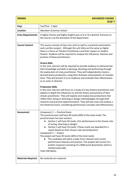| <b>DRAMA</b>              | <b>ADVANCED HIGHER</b><br><b>SCQF7</b>                                                                                                                                                                                                                                                                                                                                                                                                                                                                                                                                                                                                                                                                                                                                                                                                                                                                                                                                                                                                                                                                                                                                                                                                                                                                    |
|---------------------------|-----------------------------------------------------------------------------------------------------------------------------------------------------------------------------------------------------------------------------------------------------------------------------------------------------------------------------------------------------------------------------------------------------------------------------------------------------------------------------------------------------------------------------------------------------------------------------------------------------------------------------------------------------------------------------------------------------------------------------------------------------------------------------------------------------------------------------------------------------------------------------------------------------------------------------------------------------------------------------------------------------------------------------------------------------------------------------------------------------------------------------------------------------------------------------------------------------------------------------------------------------------------------------------------------------------|
| <b>Days</b>               | Tue/Thur 2-4pm                                                                                                                                                                                                                                                                                                                                                                                                                                                                                                                                                                                                                                                                                                                                                                                                                                                                                                                                                                                                                                                                                                                                                                                                                                                                                            |
| <b>Location</b>           | Aberdeen Grammar School                                                                                                                                                                                                                                                                                                                                                                                                                                                                                                                                                                                                                                                                                                                                                                                                                                                                                                                                                                                                                                                                                                                                                                                                                                                                                   |
| <b>Entry Requirements</b> | A Higher Drama and Higher English pass at A or B is desired. Entrance to<br>the course is at the discretion of the department.                                                                                                                                                                                                                                                                                                                                                                                                                                                                                                                                                                                                                                                                                                                                                                                                                                                                                                                                                                                                                                                                                                                                                                            |
| <b>Course Content</b>     | This course consists of two core units as well as a practical examination<br>and a written project. Although the unit titles are the same as Higher<br>there is a focus on Theatre Practitioners and their impact on modern<br>theatre. Students will be required to analyse the influences, theories and<br>practice of these practitioners.<br><b>Drama Skills</b><br>In this Unit, learners will be required to provide evidence to demonstrate<br>their knowledge and skills in devising, directing and performing through<br>the exploration of a key practitioner. They will independently create a<br>devised drama production, using their dramatic interpretation of complex<br>texts. They will present it to an audience and evaluate their effectiveness<br>as an actor or director.<br><b>Production Skills</b><br>In this Unit, learners will focus on a study of a key theatre practitioner and<br>explore in depth the influences on and the theory and practice of their<br>chosen practitioner. They will explore and analyse key productions that<br>reflect their acting or directing or design methodologies through both<br>research and practical experimentation. They will also view and analyse a<br>live theatrical event, considering performance concepts and effectiveness. |
| Assessment                | Component 1 - Practical Exam<br>The practical exam will have 60 marks (60% of the total mark). The<br>practical exam has two sections.<br>Section 1 will have 50 marks. (For performance in the chosen role<br>of acting, directing or design)<br>Section 2 will have 10 marks. (These marks are awarded for a<br>$\bullet$<br>report based on their chosen role and production)<br>Component 2 - Project<br>The project will have 40 marks (40% of the total mark).<br>The candidate will select a topic from relevant and current<br>performance theories and practice. The project will consist of a<br>written response consisting of a 3000-word dissertation which is<br>marked externally.<br><b>Total 100 Marks</b>                                                                                                                                                                                                                                                                                                                                                                                                                                                                                                                                                                               |
| <b>Materials Required</b> | No materials are required.                                                                                                                                                                                                                                                                                                                                                                                                                                                                                                                                                                                                                                                                                                                                                                                                                                                                                                                                                                                                                                                                                                                                                                                                                                                                                |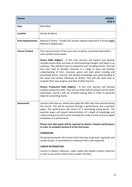| <b>Drama</b>              | <b>HIGHER</b><br><b>SCQF6</b>                                                                                                                                                                                                                                                                                                                                                                                                                                                                                                                                                                                                                                                                                                                                                                                                                                            |
|---------------------------|--------------------------------------------------------------------------------------------------------------------------------------------------------------------------------------------------------------------------------------------------------------------------------------------------------------------------------------------------------------------------------------------------------------------------------------------------------------------------------------------------------------------------------------------------------------------------------------------------------------------------------------------------------------------------------------------------------------------------------------------------------------------------------------------------------------------------------------------------------------------------|
| <b>Days</b>               | Mon/Wed                                                                                                                                                                                                                                                                                                                                                                                                                                                                                                                                                                                                                                                                                                                                                                                                                                                                  |
| <b>Location</b>           | Harlaw Academy                                                                                                                                                                                                                                                                                                                                                                                                                                                                                                                                                                                                                                                                                                                                                                                                                                                           |
| <b>Entry Requirements</b> | National 5 Drama - Grades A-B, proven relevant experience in Drama and a<br>National 5 English pass.                                                                                                                                                                                                                                                                                                                                                                                                                                                                                                                                                                                                                                                                                                                                                                     |
| <b>Course Content</b>     | This course consists of two core units as well as a practical examination<br>and a written examination.                                                                                                                                                                                                                                                                                                                                                                                                                                                                                                                                                                                                                                                                                                                                                                  |
|                           | Drama Skills (Higher) - in this Unit, learners will explore and develop<br>complex drama skills and ways of communicating thoughts and ideas to an<br>audience. They will learn how to respond to text, including stimuli. They will<br>also learn how to develop character in a range of ways and develop<br>understanding of form, structure, genre and style when creating and<br>presenting drama. Learners will develop knowledge and understanding of<br>the social and cultural influences on drama. They will also learn how to<br>evaluate their own progress and that of other learners.<br>Drama: Production Skills (Higher) - in this Unit, learners will develop<br>complex production skills. They will use these skills to enhance drama when<br>presenting. Learners will use problem-solving skills in order to generate<br>ideas for presenting drama. |
| <b>Assessment</b>         | Learners will draw on, extend and apply the skills they have learned during<br>the Course. This will be assessed through a performance and a question<br>paper. The performance will consist of 2 contrasting acting pieces. The<br>question paper will require demonstration of a depth of knowledge and<br>understanding from the Course including the study of a text and an in-depth<br>evaluation of a performance.                                                                                                                                                                                                                                                                                                                                                                                                                                                 |
|                           | Please note that pupils will be required to attend a theatre performance<br>in order to complete Section B of the final exam.                                                                                                                                                                                                                                                                                                                                                                                                                                                                                                                                                                                                                                                                                                                                            |
|                           | <b>HOMEWORK</b>                                                                                                                                                                                                                                                                                                                                                                                                                                                                                                                                                                                                                                                                                                                                                                                                                                                          |
|                           | On-going homework will consist of line learning, script work, log books and<br>sample essays. A commitment to rehearsal time is also expected.                                                                                                                                                                                                                                                                                                                                                                                                                                                                                                                                                                                                                                                                                                                           |
|                           | <b>CAREER INFORMATION</b>                                                                                                                                                                                                                                                                                                                                                                                                                                                                                                                                                                                                                                                                                                                                                                                                                                                |
|                           | Careers in theatre, television, radio, media and related creative industries<br>as well as any careers which have a public interface.                                                                                                                                                                                                                                                                                                                                                                                                                                                                                                                                                                                                                                                                                                                                    |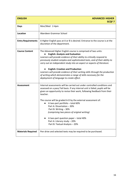| <b>ENGLISH</b>            | <b>ADVANCED HIGHER</b><br><b>SCQF7</b>                                                                                                                                                                                                                                                                                                                                                                                                                                                                                                                                                      |
|---------------------------|---------------------------------------------------------------------------------------------------------------------------------------------------------------------------------------------------------------------------------------------------------------------------------------------------------------------------------------------------------------------------------------------------------------------------------------------------------------------------------------------------------------------------------------------------------------------------------------------|
| <b>Days</b>               | Mon/Wed 2-4pm                                                                                                                                                                                                                                                                                                                                                                                                                                                                                                                                                                               |
| Location                  | Aberdeen Grammar School                                                                                                                                                                                                                                                                                                                                                                                                                                                                                                                                                                     |
| <b>Entry Requirements</b> | A Higher English pass at A or B is desired. Entrance to the course is at the<br>discretion of the department.                                                                                                                                                                                                                                                                                                                                                                                                                                                                               |
| <b>Course Content</b>     | The Advanced Higher English course is comprised of two units:<br><b>English: Analysis and Evaluation</b><br>Learners will provide evidence of their ability to critically respond to<br>previously studied complex and sophisticated texts, and of their ability to<br>carry out an independent study into an aspect or aspects of literature.<br><b>English: Creation and Production</b><br>Learners will provide evidence of their writing skills through the production<br>of writing which demonstrates a range of skills necessary for the<br>deployment of language to create effect. |
| <b>Assessment</b>         | Internal assessments will be carried out under controlled conditions and<br>assessed on a pass/ fail basis. If any internal unit is failed, pupils will be<br>given an opportunity to revise their work, following feedback from their<br>teacher.<br>The course will be graded A-D by the external assessment of:<br>A two-part portfolio - total 60%<br>Part A: Dissertation - 30%<br>Part B: Writing - 30%<br>(comprising two pieces of original writing)<br>A two-part question paper - total 40%<br>Part A: Literary study - 20%<br>Part B: Textual Analysis - 20%                     |
| <b>Materials Required</b> | Pen drive and selected texts may be required to be purchased.                                                                                                                                                                                                                                                                                                                                                                                                                                                                                                                               |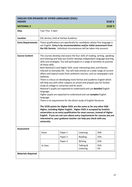| <b>ENGLISH FOR SPEAKERS OF OTHER LANGUAGES (ESOL)</b><br><b>SCQF6</b><br><b>HIGHER</b> |                                                                         |                                              |                                                                                                                                                                                                                                                                                                                                                                                                                                                                                                                                                                                                                                                              |                                                                                                                                                                                                                                                                                                                                                                                                                                                                                                                                                                      |
|----------------------------------------------------------------------------------------|-------------------------------------------------------------------------|----------------------------------------------|--------------------------------------------------------------------------------------------------------------------------------------------------------------------------------------------------------------------------------------------------------------------------------------------------------------------------------------------------------------------------------------------------------------------------------------------------------------------------------------------------------------------------------------------------------------------------------------------------------------------------------------------------------------|----------------------------------------------------------------------------------------------------------------------------------------------------------------------------------------------------------------------------------------------------------------------------------------------------------------------------------------------------------------------------------------------------------------------------------------------------------------------------------------------------------------------------------------------------------------------|
| <b>NATIONAL 5</b>                                                                      |                                                                         |                                              |                                                                                                                                                                                                                                                                                                                                                                                                                                                                                                                                                                                                                                                              | <b>SCQF 5</b>                                                                                                                                                                                                                                                                                                                                                                                                                                                                                                                                                        |
| <b>Days</b>                                                                            | Tue/ Thur 2-4pm                                                         |                                              |                                                                                                                                                                                                                                                                                                                                                                                                                                                                                                                                                                                                                                                              |                                                                                                                                                                                                                                                                                                                                                                                                                                                                                                                                                                      |
| <b>Location</b>                                                                        |                                                                         | EAL Service, held at Harlaw Academy          |                                                                                                                                                                                                                                                                                                                                                                                                                                                                                                                                                                                                                                                              |                                                                                                                                                                                                                                                                                                                                                                                                                                                                                                                                                                      |
| <b>Entry Requirements</b>                                                              |                                                                         |                                              | the EAL Service. Individual circumstances will be taken into account.                                                                                                                                                                                                                                                                                                                                                                                                                                                                                                                                                                                        | These qualifications are specifically for candidates whose first language is<br>not English. Entry is by recommendation and/or initial assessment from                                                                                                                                                                                                                                                                                                                                                                                                               |
| <b>Course Content</b>                                                                  | all these skills.<br>websites.<br>language.<br>language.<br>university. | study at college or university and for work. | Both National 5 and Higher ESOL cover interesting texts and themes<br>There is a focus on developing more formal and academic English which<br>will help you with other subjects at school and prepare you for further<br>National 5 pupils are expected to understand and use detailed English<br>Higher pupils are expected to understand and use complex English<br>There is no requirement for the direct study of English literature.<br>The UCAS points for Higher ESOL are the same as for any other SQA<br>Higher, including Higher English. Higher ESOL is accepted by Scottish<br>interested in, your guidance teacher can help you check with any | The courses develop and assess the four skills of reading, writing, speaking<br>and listening and help you further develop independent language learning<br>skills and strategies. You will participate in a range of activities to practise<br>relevant to everyday life. You will read articles on a wide range of current<br>affairs and topical issues from authentic sources, such as newspapers and<br>universities as an entry qualification for most courses, instead of Higher<br>English. If you are not sure about entry requirements for courses you are |
| <b>Assessment</b>                                                                      | Exam                                                                    | Paper 1                                      | Listening                                                                                                                                                                                                                                                                                                                                                                                                                                                                                                                                                                                                                                                    | 20%                                                                                                                                                                                                                                                                                                                                                                                                                                                                                                                                                                  |
|                                                                                        |                                                                         | Paper 2                                      | Reading                                                                                                                                                                                                                                                                                                                                                                                                                                                                                                                                                                                                                                                      | 25%                                                                                                                                                                                                                                                                                                                                                                                                                                                                                                                                                                  |
|                                                                                        |                                                                         | Paper 3                                      | Writing                                                                                                                                                                                                                                                                                                                                                                                                                                                                                                                                                                                                                                                      | 25%                                                                                                                                                                                                                                                                                                                                                                                                                                                                                                                                                                  |
|                                                                                        | In class                                                                |                                              | Talking &<br>Listening                                                                                                                                                                                                                                                                                                                                                                                                                                                                                                                                                                                                                                       | 25%<br>5%                                                                                                                                                                                                                                                                                                                                                                                                                                                                                                                                                            |
| <b>Materials Required</b>                                                              |                                                                         |                                              |                                                                                                                                                                                                                                                                                                                                                                                                                                                                                                                                                                                                                                                              |                                                                                                                                                                                                                                                                                                                                                                                                                                                                                                                                                                      |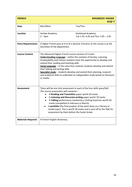| <b>FRENCH</b>             |                                                                                                                                                                                                                                                                                                                                                                                                                                                                                                                                          | <b>ADVANCED HIGHER</b><br><b>SCQF7</b>                  |
|---------------------------|------------------------------------------------------------------------------------------------------------------------------------------------------------------------------------------------------------------------------------------------------------------------------------------------------------------------------------------------------------------------------------------------------------------------------------------------------------------------------------------------------------------------------------------|---------------------------------------------------------|
| <b>Days</b>               | Mon/Wed                                                                                                                                                                                                                                                                                                                                                                                                                                                                                                                                  | Tue/Thur                                                |
| Location                  | Harlaw Academy<br>$2 - 4$ pm                                                                                                                                                                                                                                                                                                                                                                                                                                                                                                             | Hazlehead Academy<br>Tue 1:55-3:35 and Thur 1:05 - 2:45 |
| <b>Entry Requirements</b> | A Higher French pass at A or B is desired. Entrance to the course is at the<br>discretion of the department.                                                                                                                                                                                                                                                                                                                                                                                                                             |                                                         |
| <b>Course Content</b>     | The Advanced Higher French course consists of 3 units:<br>Understanding Language - within the contexts of Society, Learning,<br>Employability and Culture students have the opportunity to develop and<br>extend their reading and listening skills<br>Using Language - in the same four contexts students develop and extend<br>their talking and writing skills<br>Specialist study - students develop and extend their planning, research<br>and analytical skills to undertake an independent study based on literature<br>or media. |                                                         |
| <b>Assessment</b>         | There will be one Unit assessment in each of the four skills (pass/fail)<br>The course assessment will comprise -<br>A Reading and Translation paper worth 50 marks<br>A Listening and Discursive writing paper worth 70 marks<br>A Talking performance marked by a Visiting Examiner worth 50<br>marks (completed in February or March)<br>A portfolio (the final product of the work done on a literary or<br>media topic). This is worth 30 marks and is sent off to the SQA for<br>assessment by them before the Easter break.       |                                                         |
| <b>Materials Required</b> | A French-English dictionary.                                                                                                                                                                                                                                                                                                                                                                                                                                                                                                             |                                                         |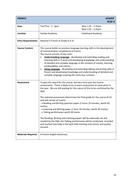| <b>FRENCH</b>             |                                                                                                                                                                                                                                                   | <b>HIGHER</b><br><b>SCQF6</b>                                                                                                                                                                                                                                                                                                                                                                                                                                                                                                           |
|---------------------------|---------------------------------------------------------------------------------------------------------------------------------------------------------------------------------------------------------------------------------------------------|-----------------------------------------------------------------------------------------------------------------------------------------------------------------------------------------------------------------------------------------------------------------------------------------------------------------------------------------------------------------------------------------------------------------------------------------------------------------------------------------------------------------------------------------|
| <b>Days</b>               | Tue/Thur 2 - 4pm                                                                                                                                                                                                                                  | Mon $1.55 - 3.35$ pm<br>Wed $1.05 - 2.45$ pm                                                                                                                                                                                                                                                                                                                                                                                                                                                                                            |
| Location                  | Harlaw Academy                                                                                                                                                                                                                                    | Hazlehead Academy                                                                                                                                                                                                                                                                                                                                                                                                                                                                                                                       |
| <b>Entry Requirements</b> | National 5 French at Grade A or B.                                                                                                                                                                                                                |                                                                                                                                                                                                                                                                                                                                                                                                                                                                                                                                         |
| <b>Course Content</b>     | of communicative competence in French.<br>The course consists of two units:<br>employability, and culture.<br>complex language covering the same four contexts.                                                                                   | This course builds on previous language learning skills in the development<br>1. Understanding Language - developing and extending reading and<br>listening skills in French and developing knowledge and understanding<br>of detailed and complex language in the contexts of society, learning,<br>2. Using Language - developing and extending talking and writing skills in<br>French and developing knowledge and understanding of detailed and                                                                                    |
| Assessment                | To gain the award for the course, learners must pass the Course<br>SQA.<br>and will consist of 3 parts:<br>marks);<br>- a Talking performance worth 30 marks.<br>The Reading, Writing and Listening papers will be externally set and<br>assured. | assessments. There is likely to be an extra assessment at some point in<br>the year. We are still waiting for the nature of this to be confirmed by the<br>The external assessment determines the final grade for the course (A-D)<br>- a Reading and Writing question paper (2 hours 10 minutes, worth 40<br>- a Listening and Writing paper (1 hour 20 minutes, worth 30 marks);<br>marked by the SQA, the Talking performance will be conducted, recorded<br>and marked internally in line with SQA marking instructions and quality |
| <b>Materials Required</b> | A French-English dictionary.                                                                                                                                                                                                                      |                                                                                                                                                                                                                                                                                                                                                                                                                                                                                                                                         |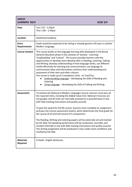| <b>GAELIC</b><br><b>LEARNERS N3/4</b> | <b>SCQF 3/4</b>                                                                                                                                                                                                                                                                                                                                                                                                                                                                                                                                                                                                                                                                                                                                                                                                                                             |
|---------------------------------------|-------------------------------------------------------------------------------------------------------------------------------------------------------------------------------------------------------------------------------------------------------------------------------------------------------------------------------------------------------------------------------------------------------------------------------------------------------------------------------------------------------------------------------------------------------------------------------------------------------------------------------------------------------------------------------------------------------------------------------------------------------------------------------------------------------------------------------------------------------------|
| <b>Days</b>                           | Tue $1.55 - 3.35$ pm<br>Thur $1.00 - 2.45$ pm                                                                                                                                                                                                                                                                                                                                                                                                                                                                                                                                                                                                                                                                                                                                                                                                               |
| Location                              | Hazlehead Academy                                                                                                                                                                                                                                                                                                                                                                                                                                                                                                                                                                                                                                                                                                                                                                                                                                           |
| <b>Entry</b><br><b>Requirements</b>   | Pupils would be expected to be sitting or already gained a N5 pass in another<br>Modern Language.                                                                                                                                                                                                                                                                                                                                                                                                                                                                                                                                                                                                                                                                                                                                                           |
| <b>Course Content</b>                 | This course builds on the language learning skills developed in the Broad<br>General Education phase in the contexts of 'Society', 'Learning',<br>'Employability' and 'Culture'. The course provides learners with the<br>opportunities to develop more detailed skills in Reading, Listening, Talking<br>and Writing; develop understanding of how language works; use different<br>media effectively for learning and communication; use language to<br>communicate ideas and information; enhance their understanding and<br>enjoyment of their own and other cultures.<br>The course is made up of 2 mandatory Units: on Tue/Thur.<br>Understanding Language - developing the skills of Reading and<br>Listening<br>Using Language - developing the skills of Talking and Writing.                                                                      |
| <b>Assessment</b>                     | To achieve the National 4 Modern Languages Course, learners must pass all<br>the required Units, including the Added Value Unit. National 4 Courses are<br>not graded, and all Units are internally assessed on a pass/fail basis in line<br>with SQA marking instructions and quality assured.<br>To gain the award for the N5 course, learners must complete an assignment<br>and pass the Course assessment (exam), which determines the final grade for<br>the course (A-D) and will consist of 5 components<br>The Reading, Writing and Listening papers will be externally set and marked<br>by the SQA, the Speaking performance will be conducted, recorded, and<br>marked internally in line with SQA marking instructions and quality assured.<br>The writing assignment will be produced in class under exam conditions and<br>marked by the SQA |
| <b>Materials</b><br>Required          | A Gaelic- English dictionary.                                                                                                                                                                                                                                                                                                                                                                                                                                                                                                                                                                                                                                                                                                                                                                                                                               |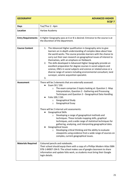| <b>GEOGRAPHY</b>          | <b>ADVANCED HIGHER</b><br><b>SCQF7</b>                                                                                                                                                                                                                                                                                                                                                                                                                                                                                                                                                                                                                                                                                                                                                                                                                                               |
|---------------------------|--------------------------------------------------------------------------------------------------------------------------------------------------------------------------------------------------------------------------------------------------------------------------------------------------------------------------------------------------------------------------------------------------------------------------------------------------------------------------------------------------------------------------------------------------------------------------------------------------------------------------------------------------------------------------------------------------------------------------------------------------------------------------------------------------------------------------------------------------------------------------------------|
| <b>Days</b>               | Tue/Thur 2 - 4pm                                                                                                                                                                                                                                                                                                                                                                                                                                                                                                                                                                                                                                                                                                                                                                                                                                                                     |
| <b>Location</b>           | Harlaw Academy                                                                                                                                                                                                                                                                                                                                                                                                                                                                                                                                                                                                                                                                                                                                                                                                                                                                       |
| <b>Entry Requirements</b> | A Higher Geography pass at A or B is desired. Entrance to the course is at<br>the discretion of the department.                                                                                                                                                                                                                                                                                                                                                                                                                                                                                                                                                                                                                                                                                                                                                                      |
| <b>Course Content</b>     | The Advanced Higher qualification in Geography aims to give<br>1.<br>learners an in-depth understanding of complex ideas about how<br>the world works. The course provides learners with the chance to<br>carry out their own research on geographical issues of interest to<br>themselves, with an emphasis on fieldwork.<br>The skills developed in Advanced Higher Geography provide an<br>2.<br>excellent preparation for degree courses in social subjects and<br>science, HNCs in social subjects and science or related areas or a<br>diverse range of careers including environmental consultant, land<br>surveyor, seismic acquisition specialist.<br>3.                                                                                                                                                                                                                    |
| <b>Assessment</b>         | There will be 2 elements that are externally assessed:<br>Exam 50 / 150.<br>The exam comprises 3 topics looking at: Question 1 -Map<br>$\circ$<br>Interpretation, Question 2 - Gathering and Processing<br>Techniques and Question 3 - Geographical Data Handling<br>Folio 100 / 150.<br>Geographical Study<br>$\circ$<br>Geographical Essay<br>O<br>There will be 2 internal unit assessments:<br><b>Geographical Skills</b><br>$\circ$ Developing a range of geographical methods and<br>techniques. These include mapping skills, graphical<br>techniques, and a wide range of statistical techniques for<br>gathering, analysing, and interpreting geographical data.<br><b>Geographical Issues</b><br>Developing critical thinking and the ability to evaluate<br>$\circ$<br>viewpoints using evidence from a wide range of sources on<br>complex, current geographical issues. |
| <b>Materials Required</b> | Coloured pencils and notebooks.<br>Their school should equip them with a copy of a Phillips Modern Atlas ISBN<br>978-1-84907-194-9. The school makes use of google classroom to share<br>information and update folio work, so students must bring their Google<br>login details.                                                                                                                                                                                                                                                                                                                                                                                                                                                                                                                                                                                                    |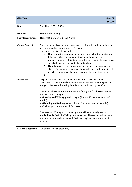| <b>GERMAN</b>             | <b>HIGHER</b><br><b>SCQF6</b>                                                                                                                                                                                                                                                                                                                                                                                                                                                                                                                                                                                                                                                                                                                                              |
|---------------------------|----------------------------------------------------------------------------------------------------------------------------------------------------------------------------------------------------------------------------------------------------------------------------------------------------------------------------------------------------------------------------------------------------------------------------------------------------------------------------------------------------------------------------------------------------------------------------------------------------------------------------------------------------------------------------------------------------------------------------------------------------------------------------|
| <b>Days</b>               | Tue/Thur 1.55 - 3.35pm                                                                                                                                                                                                                                                                                                                                                                                                                                                                                                                                                                                                                                                                                                                                                     |
| <b>Location</b>           | Hazlehead Academy                                                                                                                                                                                                                                                                                                                                                                                                                                                                                                                                                                                                                                                                                                                                                          |
| <b>Entry Requirements</b> | National 5 German at Grade A or B.                                                                                                                                                                                                                                                                                                                                                                                                                                                                                                                                                                                                                                                                                                                                         |
| <b>Course Content</b>     | This course builds on previous language learning skills in the development<br>of communicative competence in German.<br>The course consists of two units:<br><b>Understanding Language</b> - developing and extending reading and<br>4.<br>listening skills in German and developing knowledge and<br>understanding of detailed and complex language in the contexts of<br>society, learning, employability, and culture.<br>5. Using Language - developing and extending talking and writing<br>skills in German and developing knowledge and understanding of<br>detailed and complex language covering the same four contexts.<br>6.                                                                                                                                    |
| <b>Assessment</b>         | To gain the award for the course, learners must pass the Course<br>assessments. There is likely to be an extra assessment at some point in<br>the year. We are still waiting for this to be confirmed by the SQA.<br>The external assessment determines the final grade for the course (A-D)<br>and will consist of 3 parts:<br>- a Reading and Writing question paper (2 hours 10 minutes, worth 40<br>marks)<br>- a Listening and Writing paper (1 hour 20 minutes, worth 30 marks)<br>- a Talking performance worth 30 marks.<br>The Reading, Writing and Listening papers will be externally set and<br>marked by the SQA, the Talking performance will be conducted, recorded,<br>and marked internally in line with SQA marking instructions and quality<br>assured. |
| <b>Materials Required</b> | A German - English dictionary.                                                                                                                                                                                                                                                                                                                                                                                                                                                                                                                                                                                                                                                                                                                                             |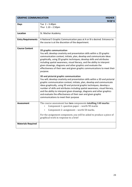| <b>GRAPHIC COMMUNICATION</b> | <b>HIGHER</b><br><b>SCQF6</b>                                                                                                                                                                                                                                                                                                                                                                                                                                                                                                                                                                                                                                                                                                                                                                                                                                                                                                                                                                                                                         |
|------------------------------|-------------------------------------------------------------------------------------------------------------------------------------------------------------------------------------------------------------------------------------------------------------------------------------------------------------------------------------------------------------------------------------------------------------------------------------------------------------------------------------------------------------------------------------------------------------------------------------------------------------------------------------------------------------------------------------------------------------------------------------------------------------------------------------------------------------------------------------------------------------------------------------------------------------------------------------------------------------------------------------------------------------------------------------------------------|
| <b>Days</b>                  | Tue $2 - 3.40$ pm<br>Thur $1.10 - 2.50$ pm                                                                                                                                                                                                                                                                                                                                                                                                                                                                                                                                                                                                                                                                                                                                                                                                                                                                                                                                                                                                            |
| Location                     | St. Machar Academy                                                                                                                                                                                                                                                                                                                                                                                                                                                                                                                                                                                                                                                                                                                                                                                                                                                                                                                                                                                                                                    |
| <b>Entry Requirements</b>    | A National 5 Graphic Communication pass at A or B is desired. Entrance to<br>the course is at the discretion of the department.                                                                                                                                                                                                                                                                                                                                                                                                                                                                                                                                                                                                                                                                                                                                                                                                                                                                                                                       |
| <b>Course Content</b>        | 2D graphic communication<br>You will; develop creativity and presentation skills within a 2D graphic<br>communication context; initiate, plan, develop and communicate ideas<br>graphically, using 2D graphic techniques; develop skills and attributes<br>including spatial awareness, visual literacy, and the ability to interpret<br>given drawings, diagrams and other graphics and evaluate the<br>effectiveness of their own and given graphic communications to meet their<br>purpose.<br>3D and pictorial graphic communication<br>You will; develop creativity and presentation skills within a 3D and pictorial<br>graphic communication context; initiate, plan, develop and communicate<br>ideas graphically, using 3D and pictorial graphic techniques; develop a<br>number of skills and attributes including spatial awareness, visual literacy,<br>and the ability to interpret given drawings, diagrams and other graphics<br>and evaluate the effectiveness of their own and given graphic<br>communications to meet their purpose |
| <b>Assessment</b>            | The course assessment has two components totalling 140 marks:<br>Component 1: question paper - worth 90 marks<br>Component 2: assignment - worth 50 marks.<br>For the assignment component, you will be asked to produce a piece of<br>graphical work in response to a brief                                                                                                                                                                                                                                                                                                                                                                                                                                                                                                                                                                                                                                                                                                                                                                          |
| <b>Materials Required</b>    |                                                                                                                                                                                                                                                                                                                                                                                                                                                                                                                                                                                                                                                                                                                                                                                                                                                                                                                                                                                                                                                       |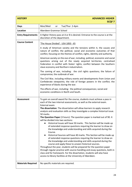| <b>HISTORY</b>            | <b>ADVANCED HIGHER</b><br><b>SCQF7</b>                                                                                                                                                                                                                                                                                                                                                                                                                                                                                                                                                                                                                                                                                                                                                                                                                                                                                                                                                                                                                                                                                                                                                                                                                               |
|---------------------------|----------------------------------------------------------------------------------------------------------------------------------------------------------------------------------------------------------------------------------------------------------------------------------------------------------------------------------------------------------------------------------------------------------------------------------------------------------------------------------------------------------------------------------------------------------------------------------------------------------------------------------------------------------------------------------------------------------------------------------------------------------------------------------------------------------------------------------------------------------------------------------------------------------------------------------------------------------------------------------------------------------------------------------------------------------------------------------------------------------------------------------------------------------------------------------------------------------------------------------------------------------------------|
| <b>Days</b>               | Mon/Wed<br>Tue/Thur 2-4pm<br>or                                                                                                                                                                                                                                                                                                                                                                                                                                                                                                                                                                                                                                                                                                                                                                                                                                                                                                                                                                                                                                                                                                                                                                                                                                      |
| <b>Location</b>           | Aberdeen Grammar School                                                                                                                                                                                                                                                                                                                                                                                                                                                                                                                                                                                                                                                                                                                                                                                                                                                                                                                                                                                                                                                                                                                                                                                                                                              |
| <b>Entry Requirements</b> | A Higher History pass at A or B is desired. Entrance to the course is at the<br>discretion of the department.                                                                                                                                                                                                                                                                                                                                                                                                                                                                                                                                                                                                                                                                                                                                                                                                                                                                                                                                                                                                                                                                                                                                                        |
| <b>Course Content</b>     | 'The House Divided': USA 1850 - 65                                                                                                                                                                                                                                                                                                                                                                                                                                                                                                                                                                                                                                                                                                                                                                                                                                                                                                                                                                                                                                                                                                                                                                                                                                   |
|                           | A study of American society and the tensions within it, the causes and<br>nature of conflict, the political, social and economic outcomes of that<br>conflict, focusing on the themes of conflict, rights, identity and authority.                                                                                                                                                                                                                                                                                                                                                                                                                                                                                                                                                                                                                                                                                                                                                                                                                                                                                                                                                                                                                                   |
|                           | American society on the eve of war, including political, economic and social<br>questions arising out of the newly acquired territories; centralised<br>Federation in conflict with States' rights; conflict between the Southern<br>slave economy and Northern industrialism.                                                                                                                                                                                                                                                                                                                                                                                                                                                                                                                                                                                                                                                                                                                                                                                                                                                                                                                                                                                       |
|                           | The coming of war, including: the civil rights questions; the failure of<br>compromise; the outbreak of war.                                                                                                                                                                                                                                                                                                                                                                                                                                                                                                                                                                                                                                                                                                                                                                                                                                                                                                                                                                                                                                                                                                                                                         |
|                           | The Civil War, including military events and developments from Union and<br>Confederate viewpoints; the role of foreign powers in the conflict; the<br>experience of blacks during the war.                                                                                                                                                                                                                                                                                                                                                                                                                                                                                                                                                                                                                                                                                                                                                                                                                                                                                                                                                                                                                                                                          |
|                           | The effects of war, including: the political consequences; social and<br>economic conditions in North and South.                                                                                                                                                                                                                                                                                                                                                                                                                                                                                                                                                                                                                                                                                                                                                                                                                                                                                                                                                                                                                                                                                                                                                     |
| Assessment                | To gain an overall award for the course, students must achieve a pass in<br>each of the two internal assessments, as well as the external exam.<br>External exam:<br>The dissertation: The dissertation will allow learners to apply research<br>analysis and evaluation skills as they investigate a complex historical issue.<br>50 marks.<br>The Question Paper (3 hours): The question paper is marked out of 90. It<br>will be divided into two sections:<br>Historical Issues will have 50 marks. This Section will be made up<br>of extended response questions requiring the learner to draw on<br>the knowledge and understanding and skills acquired during the<br>Course.<br>Historical Sources will have 40 marks. This Section will be made up<br>$\bullet$<br>of extended response questions requiring the learner to draw on<br>the knowledge and understanding and skills acquired during the<br>course and apply these to unseen historical sources.<br>Throughout the year, students will be prepared for the question paper<br>through regular practice with source-handling and essay questions, both in<br>class and for homework. For the dissertation, students will also have<br>access to library facilities at the University of Aberdeen. |
| <b>Materials Required</b> | No specific materials are required.                                                                                                                                                                                                                                                                                                                                                                                                                                                                                                                                                                                                                                                                                                                                                                                                                                                                                                                                                                                                                                                                                                                                                                                                                                  |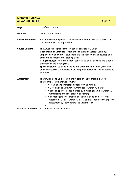| <b>MANDARIN CHINESE</b><br><b>ADVANCED HIGHER</b> | <b>SCQF7</b>                                                                                                                                                                                                                                                                                                                                                                                                                                                                                                                                       |
|---------------------------------------------------|----------------------------------------------------------------------------------------------------------------------------------------------------------------------------------------------------------------------------------------------------------------------------------------------------------------------------------------------------------------------------------------------------------------------------------------------------------------------------------------------------------------------------------------------------|
| <b>Days</b>                                       | Mon/Wed 2-4pm                                                                                                                                                                                                                                                                                                                                                                                                                                                                                                                                      |
| Location                                          | Oldmachar Academy                                                                                                                                                                                                                                                                                                                                                                                                                                                                                                                                  |
| <b>Entry Requirements</b>                         | A Higher Mandarin pass at A or B is desired. Entrance to the course is at<br>the discretion of the department.                                                                                                                                                                                                                                                                                                                                                                                                                                     |
| <b>Course Content</b>                             | The Advanced Higher Mandarin course consists of 3 units:<br>Understanding Language - within the contexts of Society, Learning,<br>Employability and Culture students have the opportunity to develop and<br>extend their reading and listening skills<br>Using Language - in the same four contexts students develop and extend<br>their talking and writing skills<br>Specialist study - students develop and extend their planning, research<br>and analytical skills to undertake an independent study based on literature<br>or media.         |
| <b>Assessment</b>                                 | There will be one Unit assessment in each of the four skills (pass/fail)<br>The course assessment will comprise -<br>A Reading and Translation paper worth 50 marks<br>$\bullet$<br>• A Listening and Discursive writing paper worth 70 marks<br>A speaking performance marked by a Visiting Examiner worth 50<br>marks (completed in February or March)<br>A portfolio (the final product of the work done on a literary or<br>media topic). This is worth 30 marks and is sent off to the SQA for<br>assessment by them before the Easter break. |
| <b>Materials Required</b>                         | A Mandarin-English dictionary.                                                                                                                                                                                                                                                                                                                                                                                                                                                                                                                     |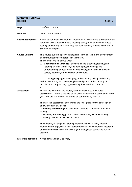| <b>MANDARIN CHINESE</b><br><b>HIGHER</b> | <b>SCQF6</b>                                                                                                                                                                                                                                                                                                                                                                                                                                                                                                                                                                                                                                                                                                                                                                |  |
|------------------------------------------|-----------------------------------------------------------------------------------------------------------------------------------------------------------------------------------------------------------------------------------------------------------------------------------------------------------------------------------------------------------------------------------------------------------------------------------------------------------------------------------------------------------------------------------------------------------------------------------------------------------------------------------------------------------------------------------------------------------------------------------------------------------------------------|--|
| <b>Days</b>                              | Mon/Wed 2-4pm                                                                                                                                                                                                                                                                                                                                                                                                                                                                                                                                                                                                                                                                                                                                                               |  |
| <b>Location</b>                          | Oldmachar Academy                                                                                                                                                                                                                                                                                                                                                                                                                                                                                                                                                                                                                                                                                                                                                           |  |
| <b>Entry Requirements</b>                | A pass at National 5 Mandarin at grade A or B. This course is also an option<br>for pupils with a native Chinese speaking background and some Chinese<br>reading and writing skills who may not have formally studied Mandarin in<br>Scotland in the past.                                                                                                                                                                                                                                                                                                                                                                                                                                                                                                                  |  |
| <b>Course Content</b>                    | This course builds on previous language learning skills in the development<br>of communicative competence in Mandarin.<br>The course consists of two units:<br><b>Understanding Language</b> - developing and extending reading and<br>1.<br>listening skills in Mandarin, and developing knowledge and<br>understanding of detailed and complex language in the contexts of<br>society, learning, employability, and culture.<br>2.<br><b>Using Language</b> - developing and extending talking and writing<br>skills in Mandarin, and developing knowledge and understanding of<br>detailed and complex language covering the same four contexts.<br>3.                                                                                                                   |  |
| <b>Assessment</b>                        | To gain the award for the course, learners must pass the Course<br>assessments. There is likely to be an extra assessment at some point in the<br>year. We are still waiting for this to be confirmed by the SQA.<br>The external assessment determines the final grade for the course (A-D)<br>and will consist of 3 parts:<br>- a Reading and Writing question paper (2 hours 10 minutes, worth 40<br>marks);<br>- a Listening and Writing paper (1 hour 20 minutes, worth 30 marks);<br>- a Talking performance worth 30 marks.<br>The Reading, Writing and Listening papers will be externally set and<br>marked by the SQA, the Talking performance will be conducted, recorded<br>and marked internally in line with SQA marking instructions and quality<br>assured. |  |
| <b>Materials Required</b>                | A Mandarin-English Dictionary                                                                                                                                                                                                                                                                                                                                                                                                                                                                                                                                                                                                                                                                                                                                               |  |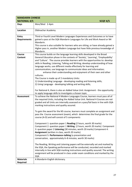| <b>MANDARIN CHINESE</b>             |                                                                                                                                                                                                                                                                                                                                                                                                                                                                                                                                                                                                                                                                                                                                                                                                                                                                                                  |  |
|-------------------------------------|--------------------------------------------------------------------------------------------------------------------------------------------------------------------------------------------------------------------------------------------------------------------------------------------------------------------------------------------------------------------------------------------------------------------------------------------------------------------------------------------------------------------------------------------------------------------------------------------------------------------------------------------------------------------------------------------------------------------------------------------------------------------------------------------------------------------------------------------------------------------------------------------------|--|
| <b>NATIONAL 4/5</b>                 | SCQF 4/5                                                                                                                                                                                                                                                                                                                                                                                                                                                                                                                                                                                                                                                                                                                                                                                                                                                                                         |  |
| <b>Days</b>                         | Mon/Wed 2-4pm                                                                                                                                                                                                                                                                                                                                                                                                                                                                                                                                                                                                                                                                                                                                                                                                                                                                                    |  |
| Location                            | Oldmachar Academy                                                                                                                                                                                                                                                                                                                                                                                                                                                                                                                                                                                                                                                                                                                                                                                                                                                                                |  |
| <b>Entry</b><br><b>Requirements</b> | Third or Fourth Level Modern Languages Experiences and Outcomes or to have<br>gained a pass at the SQA Mandarin Languages for Life and Work Award or N4<br>Mandarin.<br>This course is also suitable for learners who are sitting, or have already gained a<br>Higher pass in, another Modern Language but have little previous knowledge of<br>Mandarin.                                                                                                                                                                                                                                                                                                                                                                                                                                                                                                                                        |  |
| <b>Course</b><br><b>Content</b>     | This course builds on the language learning skills developed in the Broad<br>General Education phase in the contexts of 'Society', 'Learning', 'Employability'<br>and 'Culture'. The course provides learners with the opportunities to: develop<br>skills in Reading, Listening, Talking and Writing; develop understanding of how<br>language works; use different media effectively for learning and<br>communication; use language to communicate ideas and information;<br>enhance their understanding and enjoyment of their own and other<br>cultures.<br>The Course is made up of 2 mandatory Units:<br>1) Understanding Language - developing reading and listening skills;<br>2) Using Language - developing talking and writing skills;<br>For National 4, there is also an Added Value Unit: Assignment - the opportunity<br>to apply language skills to investigate a chosen topic. |  |
| <b>Assessment</b>                   | To achieve the National 4 Modern Languages Course, learners must pass all of<br>the required Units, including the Added Value Unit. National 4 Courses are not<br>graded and all Units are internally assessed on a pass/fail basis in line with SQA<br>marking instructions and quality assured.<br>To gain the award for the N5 course, learners must complete an assignment and<br>pass the Course assessment (exam), which determines the final grade for the<br>course (A-D) and will consist of 5 components                                                                                                                                                                                                                                                                                                                                                                               |  |
|                                     | Component 1: question paper 1 Reading (2 hours, worth 30 marks)<br>Component 2: question paper 1 Writing (2 hours, worth 20 marks) Component<br>3: question paper 2 Listening (30 minutes, worth 20 marks) Component 4:<br>Assignment (written in class, worth 20 marks)<br>Component 5: Performance-talking (a presentation and<br>conversation, approximately 6-8 minutes, worth 30 marks)<br>The Reading, Writing and Listening papers will be externally set and marked by<br>the SQA, the Speaking performance will be conducted, recorded and marked<br>internally in line with SQA marking instructions and quality assured. The writing<br>assignment will be produced in class under exam conditions and marked by the<br>SQA                                                                                                                                                           |  |
| <b>Materials</b><br>Required        | A Mandarin-English dictionary.                                                                                                                                                                                                                                                                                                                                                                                                                                                                                                                                                                                                                                                                                                                                                                                                                                                                   |  |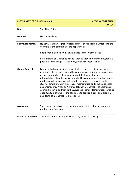| <b>MATHEMATICS OF MECHANICS</b> | <b>ADVANCED HIGHER</b><br><b>SCQF7</b>                                                                                                                                                                                                                                                                                                                                                                                                                                                                                                                                                                                                                                                                                        |
|---------------------------------|-------------------------------------------------------------------------------------------------------------------------------------------------------------------------------------------------------------------------------------------------------------------------------------------------------------------------------------------------------------------------------------------------------------------------------------------------------------------------------------------------------------------------------------------------------------------------------------------------------------------------------------------------------------------------------------------------------------------------------|
| <b>Days</b>                     | Tue/Thur 2-4pm                                                                                                                                                                                                                                                                                                                                                                                                                                                                                                                                                                                                                                                                                                                |
| <b>Location</b>                 | Harlaw Academy                                                                                                                                                                                                                                                                                                                                                                                                                                                                                                                                                                                                                                                                                                                |
| <b>Entry Requirements</b>       | Higher Maths and Higher Physics pass at A or B is desired. Entrance to the<br>course is at the discretion of the department.                                                                                                                                                                                                                                                                                                                                                                                                                                                                                                                                                                                                  |
|                                 | Pupils should also be studying Advanced Higher Mathematics.                                                                                                                                                                                                                                                                                                                                                                                                                                                                                                                                                                                                                                                                   |
|                                 | Mathematics of Mechanics can be taken as a fourth Advanced Higher, if a<br>pupil is also studying Maths and Physics at Advanced Higher.                                                                                                                                                                                                                                                                                                                                                                                                                                                                                                                                                                                       |
| <b>Course Content</b>           | Learners study mechanics in a way that recognises problem solving as an<br>essential skill. The focus within the course is placed firmly on applications<br>of mathematics to real-life contexts and the formulation and<br>interpretation of mathematical models. The course offers depth of applied<br>mathematical experience and, thereby, achieves relevance to further<br>study or employment in the areas of mathematical and physical sciences<br>and engineering. When an Advanced Higher Mathematics of Mechanics<br>course is taken in addition to the Advanced Higher Mathematics course, an<br>opportunity is offered for the candidate to acquire exceptional breadth<br>and depth of mathematical experiences. |
| <b>Assessment</b>               | This course consists of three mandatory units with unit assessments, a<br>prelim, and a final exam.                                                                                                                                                                                                                                                                                                                                                                                                                                                                                                                                                                                                                           |
| <b>Materials Required</b>       | Textbook 'Understanding Mechanics' by Sadler & Thorning.                                                                                                                                                                                                                                                                                                                                                                                                                                                                                                                                                                                                                                                                      |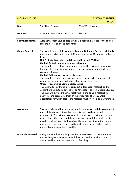| <b>MODERN STUDIES</b>     | <b>ADVANCED HIGHER</b><br><b>SCQF7</b>                                                                                                                                                                                                                                                                                                                                                                                                                                                                                                                                                                                                                                                                                                                                                                                                                                                                                                                                                                                                                                                  |  |
|---------------------------|-----------------------------------------------------------------------------------------------------------------------------------------------------------------------------------------------------------------------------------------------------------------------------------------------------------------------------------------------------------------------------------------------------------------------------------------------------------------------------------------------------------------------------------------------------------------------------------------------------------------------------------------------------------------------------------------------------------------------------------------------------------------------------------------------------------------------------------------------------------------------------------------------------------------------------------------------------------------------------------------------------------------------------------------------------------------------------------------|--|
| <b>Days</b>               | Tue/Thur $2 - 4$ pm<br>Mon/Wed 2-4pm                                                                                                                                                                                                                                                                                                                                                                                                                                                                                                                                                                                                                                                                                                                                                                                                                                                                                                                                                                                                                                                    |  |
| <b>Location</b>           | Aberdeen Grammar School<br>Harlaw<br>or                                                                                                                                                                                                                                                                                                                                                                                                                                                                                                                                                                                                                                                                                                                                                                                                                                                                                                                                                                                                                                                 |  |
| <b>Entry Requirements</b> | A Higher Modern Studies pass at A or B is desired. Entrance to the course<br>is at the discretion of the department.                                                                                                                                                                                                                                                                                                                                                                                                                                                                                                                                                                                                                                                                                                                                                                                                                                                                                                                                                                    |  |
| <b>Course Content</b>     | The overall theme of the course is 'Law and Order and Research Methods'<br>and comprises two units, one of 80 hours and one of 40 hours as outlined<br>below:<br>Unit 1: Social Issues: Law and Order and Research Methods<br><b>Context A: Understanding criminal behaviour</b><br>This includes The nature and extent of criminal behaviour, evaluation of<br>theories of criminal behaviour and the social and economic effects of<br>criminal behaviour.<br><b>Context B: Responses by society to crime</b><br>This includes Theories and explanations of responses to crime, current<br>responses to crime and evaluation of responses to crime.<br>Unit 2 - Researching Contemporary Issues<br>This unit will allow the pupil to carry out independent research on the<br>content of a unit studied at Higher or Advanced Higher in Modern Studies.<br>The pupil will develop the investigative skills of planning, researching,<br>analysing, and presenting through the production of a 4500-word<br>dissertation for which part of the research must involve a primary method. |  |
| <b>Assessment</b>         | To gain a full award for the course, pupils must achieve all the component<br>units of the course (internally assessed) as well as the external<br>assessment. The external assessment comprises of an externally set and<br>assessed question paper and the dissertation. In addition, pupils must<br>pass internal assessments throughout the course relating to the content<br>and research methods related to the main study theme (Unit 1) and<br>practical research methods (Unit 2).                                                                                                                                                                                                                                                                                                                                                                                                                                                                                                                                                                                             |  |
| <b>Materials Required</b> | A ring binder, folder and A4 paper. Pupils need access to the internet as<br>we use Google Classroom a lot and they also need to be able to print<br>articles and handouts as there is a lot of reading.                                                                                                                                                                                                                                                                                                                                                                                                                                                                                                                                                                                                                                                                                                                                                                                                                                                                                |  |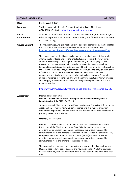| <b>MOVING IMAGE ARTS</b><br><b>AS LEVEL</b> |                                                                                                                                                                                                                                                                                                                                                                                                                                                                                                                                                                                                                                                                                                                                                                                                                                                                                                                                                                                                                                                                                                                                                                                                                                                                                                                            |  |
|---------------------------------------------|----------------------------------------------------------------------------------------------------------------------------------------------------------------------------------------------------------------------------------------------------------------------------------------------------------------------------------------------------------------------------------------------------------------------------------------------------------------------------------------------------------------------------------------------------------------------------------------------------------------------------------------------------------------------------------------------------------------------------------------------------------------------------------------------------------------------------------------------------------------------------------------------------------------------------------------------------------------------------------------------------------------------------------------------------------------------------------------------------------------------------------------------------------------------------------------------------------------------------------------------------------------------------------------------------------------------------|--|
| Days                                        | Mon / Wed 2-4pm                                                                                                                                                                                                                                                                                                                                                                                                                                                                                                                                                                                                                                                                                                                                                                                                                                                                                                                                                                                                                                                                                                                                                                                                                                                                                                            |  |
| <b>Location</b>                             | Station House Media Unit, Station Road, Woodside, Aberdeen<br>AB24 2WB Contact - richard.ferguson@shmu.org.uk                                                                                                                                                                                                                                                                                                                                                                                                                                                                                                                                                                                                                                                                                                                                                                                                                                                                                                                                                                                                                                                                                                                                                                                                              |  |
| <b>Entry</b><br><b>Requirements</b>         | S5 or S6. A qualification in media studies, creative or digital media and/or<br>relevant experience and interest in film-making and film education in an out<br>of school setting.                                                                                                                                                                                                                                                                                                                                                                                                                                                                                                                                                                                                                                                                                                                                                                                                                                                                                                                                                                                                                                                                                                                                         |  |
| <b>Course Content</b>                       | The Moving Image Arts qualification is developed and accredited by the Council for<br>the Curriculum, Examinations and Assessment (CCEA) in Northern Ireland.<br>https://ccea.org.uk/post-16/gce/subjects/gce-moving-image-arts-2016<br>The course examines the history, techniques and creative impact of film, while<br>offering the knowledge and skills to enable students to make their own films.<br>Students will develop a knowledge & understanding of film language, styles,<br>practices and techniques with a focus on key areas of film language such as:<br>Camera, Lighting, Mise en Scene, Sound and Editing by exploring film styles such as<br>the Classical Hollywood Style, Formalism and Realism, and focussing on the work of<br>Alfred Hitchcock. Students will learn to evaluate the work of others and<br>demonstrate a critical awareness of creative and technical purpose & intended<br>audience response in filmmaking. This will then inform the student's own practice<br>as they apply their creative & technical knowledge during the creation of a 3-4<br>minute short film.                                                                                                                                                                                                             |  |
|                                             | http://www.shmu.org.uk/tv/moving-image-arts-level-film-course-202122                                                                                                                                                                                                                                                                                                                                                                                                                                                                                                                                                                                                                                                                                                                                                                                                                                                                                                                                                                                                                                                                                                                                                                                                                                                       |  |
| <b>Assessment</b>                           | Internal assessment unit:<br>Unit AS 1: Realist and Formalist Techniques and the Classical Hollywood -<br>Foundation Portfolio (60% of AS level)<br>Students research Classical Hollywood Style, Realism and Formalism, informing the<br>creation of a 3-4 minute narrative film sequence or $1\frac{1}{2}$ minute animation<br>sequence in response to stimulus provided. The portfolio must include evidence of<br>planning, research, and evaluation.<br><b>Externally assessed unit:</b><br>Unit AS 2: Critical Response (1 hour 30 min) (40% of AS level) Section A: Alfred<br>Hitchcock and the Classical Hollywood Style (45 min)Students answer two<br>questions requiring recall and analysis in response to previously unseen film<br>stimulus taken from one or more of the areas studied. Section B: Formalism: Early<br>European Cinema and American Expressionism (45min)Students answer two<br>questions requiring recall and analysis in response to previously unseen film<br>stimulus taken from one or more of the areas studied.<br>The examination is paperless and completed in a controlled, online environment.<br>Students need to have basic keyboard and navigation skills. While the course is<br>delivered at shmu, students will attend NESCol to sit both the prelim and the final<br>exam. |  |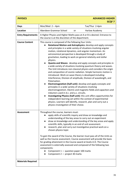| <b>PHYSICS</b>            | <b>ADVANCED HIGHER</b><br><b>SCQF7</b>                                                                                                                                                                                                                                                                                                                                                                                                                                                                                                                                                                                                                                                                                                                                                                                                                                                                                                                                                                                                                                                                                                                                                                                                                                                                                                               |  |
|---------------------------|------------------------------------------------------------------------------------------------------------------------------------------------------------------------------------------------------------------------------------------------------------------------------------------------------------------------------------------------------------------------------------------------------------------------------------------------------------------------------------------------------------------------------------------------------------------------------------------------------------------------------------------------------------------------------------------------------------------------------------------------------------------------------------------------------------------------------------------------------------------------------------------------------------------------------------------------------------------------------------------------------------------------------------------------------------------------------------------------------------------------------------------------------------------------------------------------------------------------------------------------------------------------------------------------------------------------------------------------------|--|
| <b>Days</b>               | Mon/Wed $2-4$ pm<br>Tue/Thur 2-4pm                                                                                                                                                                                                                                                                                                                                                                                                                                                                                                                                                                                                                                                                                                                                                                                                                                                                                                                                                                                                                                                                                                                                                                                                                                                                                                                   |  |
| <b>Location</b>           | Aberdeen Grammar School<br>Harlaw Academy<br>or                                                                                                                                                                                                                                                                                                                                                                                                                                                                                                                                                                                                                                                                                                                                                                                                                                                                                                                                                                                                                                                                                                                                                                                                                                                                                                      |  |
| <b>Entry Requirements</b> | A Higher Physics and Higher Maths pass at A or B is desired. Entrance to<br>the course is at the discretion of the department.                                                                                                                                                                                                                                                                                                                                                                                                                                                                                                                                                                                                                                                                                                                                                                                                                                                                                                                                                                                                                                                                                                                                                                                                                       |  |
| <b>Course Content</b>     | This course is composed of the following four Units:<br>Rotational Motion and Astrophysics: develop and apply concepts<br>and principles in a wide variety of situations involving angular<br>motion, rotational dynamics, and angular momentum. An<br>astronomical perspective is developed through a study of<br>gravitation, leading to work on general relativity and stellar<br>physics.<br>Quanta and Waves: develop and apply concepts and principles in<br>a wide variety of situations involving quantum theory and waves.<br>The Unit introduces non-classical physics and considers the origin<br>and composition of cosmic radiation. Simple harmonic motion is<br>introduced. Work on wave theory is developed including:<br>Interference, Division of amplitude, Division of wavelength, and<br>Polarisation.<br>Electromagnetism (half-unit): develop and apply concepts and<br>$\bullet$<br>principles in a wide variety of situations involving<br>electromagnetism. Electric and magnetic fields and capacitors and<br>inductors used in d.c. and a.c. circuits.<br>Investigating Physics (half-unit): this unit offers opportunities for<br>$\bullet$<br>independent learning set within the context of experimental<br>physics. Learners will identify, research, plan and carry out a<br>physics investigation of their choice. |  |
| <b>Assessment</b>         | Throughout the course, learners must:<br>apply skills of scientific inquiry and draw on knowledge and<br>understanding of the key areas to carry out an experiment<br>draw on knowledge and understanding of the key areas and apply<br>$\bullet$<br>scientific skills, typically in an end of unit assessment.<br>research, plan and carry out investigative practical work on a<br>$\bullet$<br>chosen physics topic<br>To gain the award of the Course, the learner must pass all of the Units as<br>well as the Course assessment. Course assessment will provide the basis<br>for grading attainment in the Course award at levels A-D. The Course<br>assessment is externally assessed and composed of the following two<br>components:<br>Component 1 - question paper 100 marks<br>Component 2 - project 30 marks                                                                                                                                                                                                                                                                                                                                                                                                                                                                                                                            |  |
| <b>Materials Required</b> |                                                                                                                                                                                                                                                                                                                                                                                                                                                                                                                                                                                                                                                                                                                                                                                                                                                                                                                                                                                                                                                                                                                                                                                                                                                                                                                                                      |  |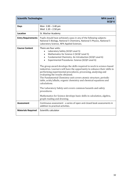| <b>Scientific Technologies</b> | <b>NPA Level 6</b><br><b>SCQF6</b>                                                                                                                                                                                                                                                                                                                                                                                                                                                                                                                                                                                                                                                                                                                                                                                            |  |
|--------------------------------|-------------------------------------------------------------------------------------------------------------------------------------------------------------------------------------------------------------------------------------------------------------------------------------------------------------------------------------------------------------------------------------------------------------------------------------------------------------------------------------------------------------------------------------------------------------------------------------------------------------------------------------------------------------------------------------------------------------------------------------------------------------------------------------------------------------------------------|--|
| <b>Days</b>                    | Mon $2.00 - 3.40$ pm<br>Wed $1.10 - 2.50$ pm                                                                                                                                                                                                                                                                                                                                                                                                                                                                                                                                                                                                                                                                                                                                                                                  |  |
| <b>Location</b>                | St. Machar Academy                                                                                                                                                                                                                                                                                                                                                                                                                                                                                                                                                                                                                                                                                                                                                                                                            |  |
| <b>Entry Requirements</b>      | Pupils should have achieved a pass in any of the following subjects:<br>National 5 Biology, National 5 Chemistry, National 5 Physics, National 5<br>Laboratory Science, NPA Applied Sciences.                                                                                                                                                                                                                                                                                                                                                                                                                                                                                                                                                                                                                                 |  |
| <b>Course Content</b>          | There are four units:<br>Laboratory Safety (SCQF Level 5)<br>Mathematics for Science 2 (SCQF Level 5)<br>Fundamental Chemistry: An Introduction (SCQF Level 6)<br>Experimental Procedures: Science (SCQF Level 6)<br>The group award develops the skills required to work in science-based<br>industries. Learners will have the opportunity to enhance their skills in<br>performing experimental procedures, processing, analysing and<br>evaluating the results obtained.<br>The Fundamental Chemistry unit covers atomic structure, periodic<br>table, acids/alkalis, organic chemistry and chemical equations and<br>calculations.<br>The Laboratory Safety unit covers common hazards and safety<br>procedures.<br>Mathematics for Science develops basic skills in calculation, algebra,<br>graph reading and drawing. |  |
| <b>Assessment</b>              | Continuous assessment - a series of open and closed book assessments in<br>addition to practical activities.                                                                                                                                                                                                                                                                                                                                                                                                                                                                                                                                                                                                                                                                                                                  |  |
| <b>Materials Required</b>      | Scientific calculator                                                                                                                                                                                                                                                                                                                                                                                                                                                                                                                                                                                                                                                                                                                                                                                                         |  |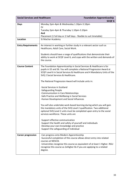| <b>Social Services and Healthcare</b> |                                                                                                                                                                                                                                                                                                            | <b>Foundation Apprenticeship</b><br><b>SCQF6</b>                     |  |
|---------------------------------------|------------------------------------------------------------------------------------------------------------------------------------------------------------------------------------------------------------------------------------------------------------------------------------------------------------|----------------------------------------------------------------------|--|
| <b>Days</b>                           | Monday 2pm-4pm & Wednesday 1.10pm-3.10pm                                                                                                                                                                                                                                                                   |                                                                      |  |
|                                       | 0r                                                                                                                                                                                                                                                                                                         |                                                                      |  |
|                                       | Tuesday 2pm-4pm & Thursday 1.10pm-3.10pm                                                                                                                                                                                                                                                                   |                                                                      |  |
|                                       | And                                                                                                                                                                                                                                                                                                        |                                                                      |  |
|                                       | Placement (1 full day or 2 half days - flexible to suit timetable)                                                                                                                                                                                                                                         |                                                                      |  |
| Location                              | St Machar Academy                                                                                                                                                                                                                                                                                          |                                                                      |  |
| <b>Entry Requirements</b>             | Healthcare, Adult Care, Social Work.                                                                                                                                                                                                                                                                       | An interest in working or further study in a relevant sector such as |  |
|                                       | Students should have a range of qualifications that demonstrate their<br>ability to work at SCQF Level 6, and cope with the written and demands of<br>the course.                                                                                                                                          |                                                                      |  |
| <b>Course Content</b>                 | The Foundation Apprenticeship in Social Services & Healthcare is for<br>pupils in S5 and S6. You will complete a National Progression Award at<br>SCQF Level 6 in Social Services & Healthcare and 4 Mandatory Units of the<br>SVQ 2 Social Services & Healthcare.                                         |                                                                      |  |
|                                       | The National Progression Award will include units in:                                                                                                                                                                                                                                                      |                                                                      |  |
|                                       | -Social Services in Scotland<br>-Safeguarding People<br>-Communication in Care Relationships<br>-Safe Practice and Wellbeing in Social Services<br>-Human Development and Social Influences                                                                                                                |                                                                      |  |
|                                       | You will also undertake work-based learning during which you will gain<br>the mandatory units of the SVQ Level 2 qualification. Two additional<br>optional SVQ Level 2 units must be completed upon entry to the social<br>services workforce. These units are                                             |                                                                      |  |
|                                       | -Support effective communication<br>-Support the health and safety of yourself and individuals<br>-Develop your own knowledge and practice<br>-Support the safeguarding of individual                                                                                                                      |                                                                      |  |
| <b>Career progression</b>             | -Can progress onto Modern Apprenticeship<br>-Successful completion of this course allows direct entry into related<br>courses at NESCOL<br>-Universities recognise this course as equivalent of at least 1 Higher. RGU<br>recognise this course as 2xHigher Bs if you are applying to a related<br>degree. |                                                                      |  |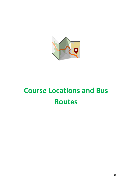

# **Course Locations and Bus Routes**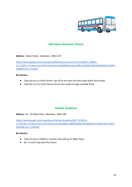

# **Aberdeen Grammar School**

**Address**: Skene Street, Aberdeen, AB10 1HT

[https://www.google.com/maps/place/Aberdeen+Grammar+School/@57.146861,-](https://www.google.com/maps/place/Aberdeen+Grammar+School/@57.146861,-2.1172307,17z/data=!3m1!4b1!4m5!3m4!1s0x48840e216ee19f81:0x538f522001bdb950!8m2!3d57.1468581!4d-2.115042) [2.1172307,17z/data=!3m1!4b1!4m5!3m4!1s0x48840e216ee19f81:0x538f522001bdb950!8m2!3d57.](https://www.google.com/maps/place/Aberdeen+Grammar+School/@57.146861,-2.1172307,17z/data=!3m1!4b1!4m5!3m4!1s0x48840e216ee19f81:0x538f522001bdb950!8m2!3d57.1468581!4d-2.115042) [1468581!4d-2.115042](https://www.google.com/maps/place/Aberdeen+Grammar+School/@57.146861,-2.1172307,17z/data=!3m1!4b1!4m5!3m4!1s0x48840e216ee19f81:0x538f522001bdb950!8m2!3d57.1468581!4d-2.115042)

#### **Bus Routes:**

- Take any bus to Union Street. Get off at the west end then walk down Rose Street.
- Take the no.3 to South Mount Street then walk through Leadside Road.

# **Harlaw Academy**

**Address:** 18 – 20 Albyn Place, Aberdeen, AB10 1RG

[https://www.google.com/maps/place/Harlaw+Academy/@57.1425014,-](https://www.google.com/maps/place/Harlaw+Academy/@57.1425014,-2.1191185,17z/data=!3m1!4b1!4m5!3m4!1s0x488411d864f5fd8b:0xb56d4f61dc17842e!8m2!3d57.1424985!4d-2.1169298) [2.1191185,17z/data=!3m1!4b1!4m5!3m4!1s0x488411d864f5fd8b:0xb56d4f61dc17842e!8m2!3d57.](https://www.google.com/maps/place/Harlaw+Academy/@57.1425014,-2.1191185,17z/data=!3m1!4b1!4m5!3m4!1s0x488411d864f5fd8b:0xb56d4f61dc17842e!8m2!3d57.1424985!4d-2.1169298) [1424985!4d-2.1169298](https://www.google.com/maps/place/Harlaw+Academy/@57.1425014,-2.1191185,17z/data=!3m1!4b1!4m5!3m4!1s0x488411d864f5fd8b:0xb56d4f61dc17842e!8m2!3d57.1424985!4d-2.1169298)

#### **Bus Routes:**

- Take any bus to Holburn Junction and walk up to Albyn Place.
- No. 11 and 13 go past the school.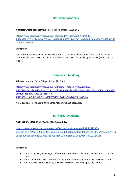# **Hazlehead Academy**

#### **Address:** Groats Road (off Queen's Road), Aberdeen, AB15 8BE

[https://www.google.com/maps/place/Hazlehead+Academy/@57.1445588,-](https://www.google.com/maps/place/Hazlehead+Academy/@57.1445588,-2.1803296,15.75z/data=!4m5!3m4!1s0x4884110989724e6f:0x11fa08a085d1e0ba!8m2!3d57.1436923!4d-2.1783036) [2.1803296,15.75z/data=!4m5!3m4!1s0x4884110989724e6f:0x11fa08a085d1e0ba!8m2!3d57.14369](https://www.google.com/maps/place/Hazlehead+Academy/@57.1445588,-2.1803296,15.75z/data=!4m5!3m4!1s0x4884110989724e6f:0x11fa08a085d1e0ba!8m2!3d57.1436923!4d-2.1783036) [23!4d-2.1783036](https://www.google.com/maps/place/Hazlehead+Academy/@57.1445588,-2.1803296,15.75z/data=!4m5!3m4!1s0x4884110989724e6f:0x11fa08a085d1e0ba!8m2!3d57.1436923!4d-2.1783036)

#### **Bus routes:**

No.11 to the terminus opposite Woodend Hospital. Either walk up Queen's Road a little further, then turn left onto Groats' Road, or take the short cut over the (public) grassy area. (Which can be soggy!)

## **Oldmachar Academy**

**Address:** Jesmond Drive, Bridge of Don, AB22 8UR

[https://www.google.com/maps/place/Oldmachar+Academy/@57.1784623,-](https://www.google.com/maps/place/Oldmachar+Academy/@57.1784623,-2.1276819,14z/data=!4m9!1m2!2m1!1sOldachar+Academy!3m5!1s0x4884120a11a5b9cd:0x48950266930b54da!8m2!3d57.1933184!4d-2.1235511!15sChBPbGRhY2hhciBBY2FkZW15kgENbWlkZGxlX3NjaG9vbA) [2.1276819,14z/data=!4m9!1m2!2m1!1sOldachar+Academy!3m5!1s0x4884120a11a5b9cd:0x489502](https://www.google.com/maps/place/Oldmachar+Academy/@57.1784623,-2.1276819,14z/data=!4m9!1m2!2m1!1sOldachar+Academy!3m5!1s0x4884120a11a5b9cd:0x48950266930b54da!8m2!3d57.1933184!4d-2.1235511!15sChBPbGRhY2hhciBBY2FkZW15kgENbWlkZGxlX3NjaG9vbA) [66930b54da!8m2!3d57.1933184!4d-](https://www.google.com/maps/place/Oldmachar+Academy/@57.1784623,-2.1276819,14z/data=!4m9!1m2!2m1!1sOldachar+Academy!3m5!1s0x4884120a11a5b9cd:0x48950266930b54da!8m2!3d57.1933184!4d-2.1235511!15sChBPbGRhY2hhciBBY2FkZW15kgENbWlkZGxlX3NjaG9vbA)[2.1235511!15sChBPbGRhY2hhciBBY2FkZW15kgENbWlkZGxlX3NjaG9vbA](https://www.google.com/maps/place/Oldmachar+Academy/@57.1784623,-2.1276819,14z/data=!4m9!1m2!2m1!1sOldachar+Academy!3m5!1s0x4884120a11a5b9cd:0x48950266930b54da!8m2!3d57.1933184!4d-2.1235511!15sChBPbGRhY2hhciBBY2FkZW15kgENbWlkZGxlX3NjaG9vbA)

No. 2 bus to Jesmond Drive. Oldmachar Academy is just past Asda,

### **St. Machar Academy**

**Address:** St. Machar Drive, Aberdeen, AB24 3YZ

[https://www.google.com/maps/place/St+Machar+Academy/@57.1661093,-](https://www.google.com/maps/place/St+Machar+Academy/@57.1661093,-2.1136135,17z/data=!3m2!4b1!5s0x48840e0386b8d0bf:0xc9099d792d73e76e!4m5!3m4!1s0x48840e03858cbf23:0xfb624d97a9ceb602!8m2!3d57.1661064!4d-2.1114248) [2.1136135,17z/data=!3m2!4b1!5s0x48840e0386b8d0bf:0xc9099d792d73e76e!4m5!3m4!1s](https://www.google.com/maps/place/St+Machar+Academy/@57.1661093,-2.1136135,17z/data=!3m2!4b1!5s0x48840e0386b8d0bf:0xc9099d792d73e76e!4m5!3m4!1s0x48840e03858cbf23:0xfb624d97a9ceb602!8m2!3d57.1661064!4d-2.1114248) [0x48840e03858cbf23:0xfb624d97a9ceb602!8m2!3d57.1661064!4d-2.1114248](https://www.google.com/maps/place/St+Machar+Academy/@57.1661093,-2.1136135,17z/data=!3m2!4b1!5s0x48840e0386b8d0bf:0xc9099d792d73e76e!4m5!3m4!1s0x48840e03858cbf23:0xfb624d97a9ceb602!8m2!3d57.1661064!4d-2.1114248)

#### **Bus routes:**

- No. 1 or 2 to King Street get off near the roundabout at Seaton, then walk up St. Machar Drive
- No. 17 or 18 along Great Northern Road, get off at roundabout and walk down to school
- No. 20 to Aberdeen University at St. Machar Drive, then walk up to the school.